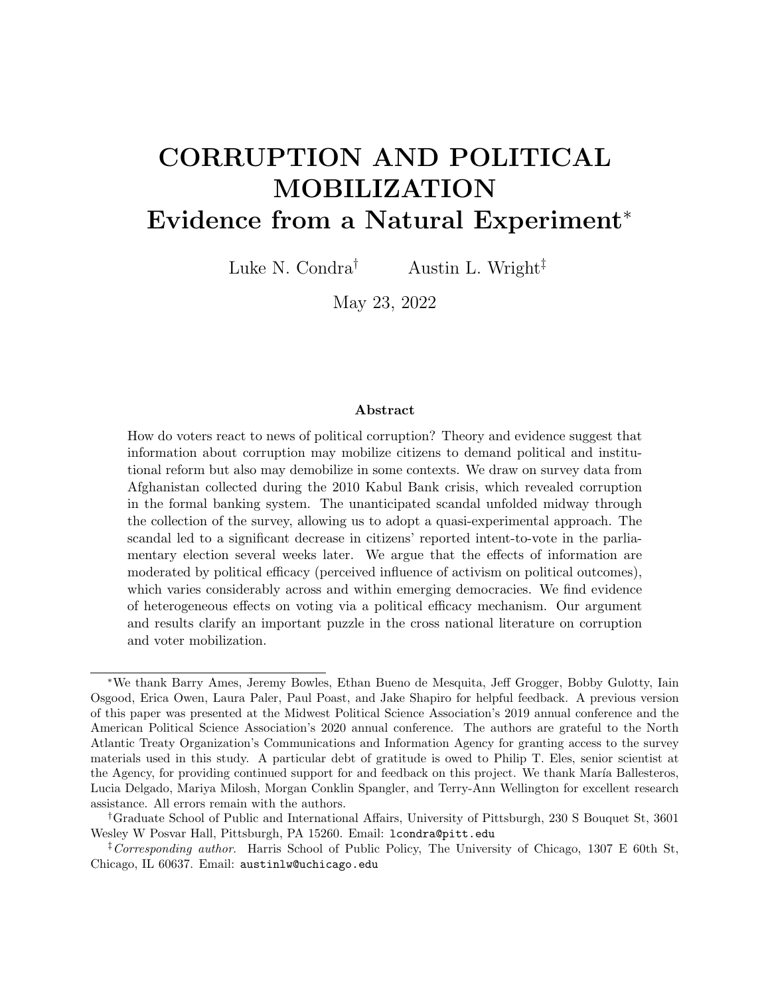# CORRUPTION AND POLITICAL MOBILIZATION Evidence from a Natural Experiment<sup>∗</sup>

Luke N. Condra<sup>†</sup> Austin L. Wright<sup> $\ddagger$ </sup>

May 23, 2022

#### Abstract

How do voters react to news of political corruption? Theory and evidence suggest that information about corruption may mobilize citizens to demand political and institutional reform but also may demobilize in some contexts. We draw on survey data from Afghanistan collected during the 2010 Kabul Bank crisis, which revealed corruption in the formal banking system. The unanticipated scandal unfolded midway through the collection of the survey, allowing us to adopt a quasi-experimental approach. The scandal led to a significant decrease in citizens' reported intent-to-vote in the parliamentary election several weeks later. We argue that the effects of information are moderated by political efficacy (perceived influence of activism on political outcomes), which varies considerably across and within emerging democracies. We find evidence of heterogeneous effects on voting via a political efficacy mechanism. Our argument and results clarify an important puzzle in the cross national literature on corruption and voter mobilization.

<sup>∗</sup>We thank Barry Ames, Jeremy Bowles, Ethan Bueno de Mesquita, Jeff Grogger, Bobby Gulotty, Iain Osgood, Erica Owen, Laura Paler, Paul Poast, and Jake Shapiro for helpful feedback. A previous version of this paper was presented at the Midwest Political Science Association's 2019 annual conference and the American Political Science Association's 2020 annual conference. The authors are grateful to the North Atlantic Treaty Organization's Communications and Information Agency for granting access to the survey materials used in this study. A particular debt of gratitude is owed to Philip T. Eles, senior scientist at the Agency, for providing continued support for and feedback on this project. We thank María Ballesteros, Lucia Delgado, Mariya Milosh, Morgan Conklin Spangler, and Terry-Ann Wellington for excellent research assistance. All errors remain with the authors.

<sup>†</sup>Graduate School of Public and International Affairs, University of Pittsburgh, 230 S Bouquet St, 3601 Wesley W Posvar Hall, Pittsburgh, PA 15260. Email: lcondra@pitt.edu

<sup>&</sup>lt;sup>‡</sup>Corresponding author. Harris School of Public Policy, The University of Chicago, 1307 E 60th St, Chicago, IL 60637. Email: austinlw@uchicago.edu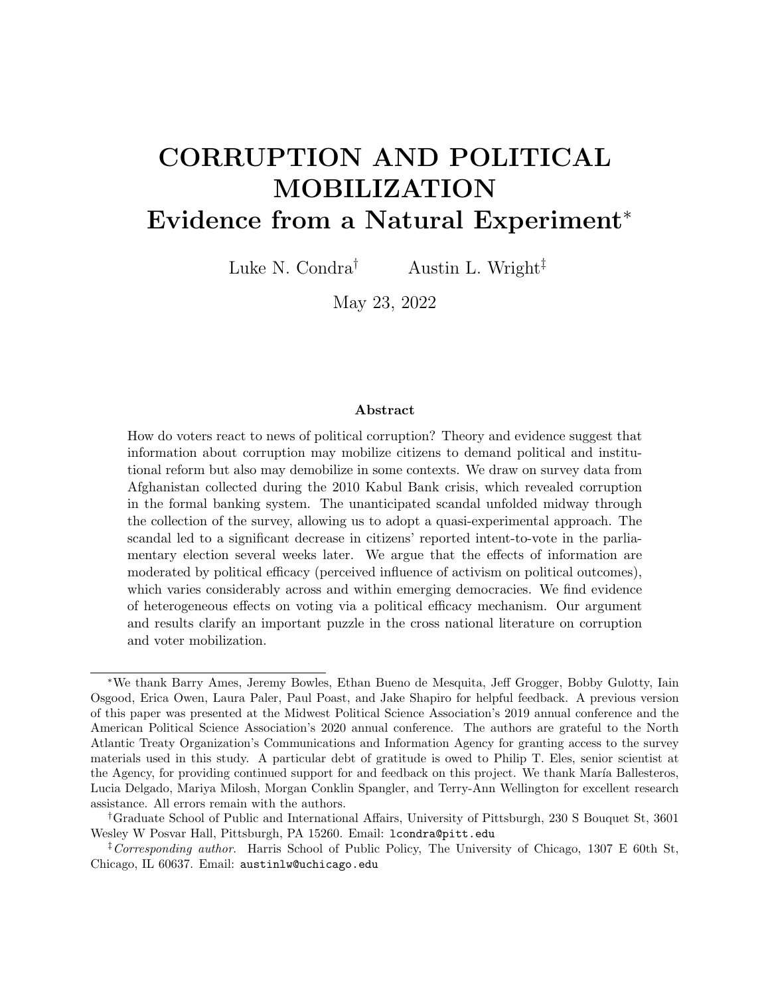### **INTRODUCTION**

The damaging effects of official corruption on economic growth and democratic governance are well-documented, both at the macro-level<sup>1</sup> and the micro-level.<sup>2</sup> To combat corruption, elections theoretically act as institutions of accountability, $3$  disciplining corrupt politicians and improving governance. Why, then, does government corruption persist within electoral democracies?

One of the most often-cited answers to this question is that citizens lack the requisite information to vote out corrupt actors.<sup>4</sup> If this information asymmetry were resolved, citizens would punish corruption electorally. Perhaps the most compelling evidence of this theory comes from Brazil, where news of political corruption mobilized voters to punish incumbents at the polls.<sup>5</sup> Yet other studies of information's effects on turnout offer either little or no evidence of a mobilizing effect on turnout,<sup> $6$ </sup> or indicate that information can actually *depress* turnout.<sup>7</sup> What explains this mixed empirical evidence?

We examine this puzzle in the context of the 2010 Kabul Bank crisis, one of the largest banking failures in the world, which revealed corrupt links between high-ranking Afghanistan public officials and the largest Afghan private lender.<sup>8</sup> Within days, the scandal triggered widespread bank runs and the largest government bailout in the country's history. The scandal unexpectedly occurred midway through the collection of a nationwide survey, which included questions about corruption in government, voter preferences, and the efficacy of government institutions. Since the sequence of survey sampling was fixed months prior to the survey and enumeration was randomized within districts, we are able to adopt a quasi-

<sup>&</sup>lt;sup>1</sup>Ahlin and Pang 2008; Mauro 1995; Rose-Ackerman 1999.

<sup>2</sup>Fisman and Svensson 2007; Olken 2007; Reinikka and Svensson 2005.

 ${}^{3}$ Besley 2006; Ferejohn 1986.

<sup>4</sup>Olken 2009; Pande 2011.

<sup>5</sup>Ferraz and Finan 2008.

<sup>6</sup>Chang, Golden and Hill 2010; Humphreys and Weinstein 2012.

<sup>7</sup>Chong et al. 2015; Stockemer, LaMontagne and Scruggs 2013.

<sup>8</sup>McLeod 2016; Kos 2012.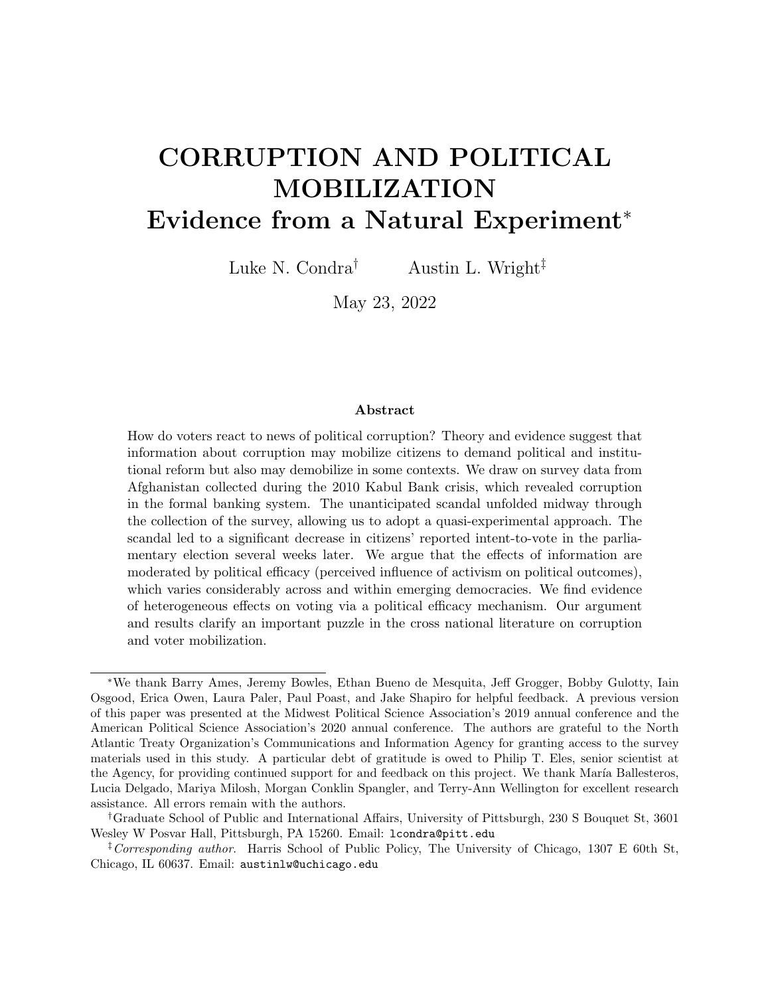experimental approach successfully utilized in other contexts.<sup>9</sup>

Overall, we find that the informational shock of the scandal caused a statistically and substantively significant decrease in citizens' intention to vote in the parliamentary election scheduled two weeks after the survey was enumerated. We show that these results are robust to a number of alternative model and sample specifications, including a range of pre/post event windows, and estimation over different subsets of administrative districts based on exogenous patterns of survey enumeration. This is the main result and contributes to the empirical literature relating corruption to voter turnout.

Motivated by a theoretical and empirical literature that argues voter mobilization is influenced by citizens' beliefs that their votes substantively impact political outcomes,<sup>10</sup> we reason that individuals who believe they do not have agency to influence outcomes through political engagement will be demobilized by the emergence of a corruption scandal. However, as beliefs about efficacy rise, we expect demobilizing effect to wane and even mobilize turnout in some contexts. We examine whether the scandal had heterogeneous effects on citizens' intention to vote.

We find that in areas with relatively low levels of political efficacy (as measured by a separate nationwide survey), news of the scandal made individuals less likely to intend to vote in the parliamentary election several weeks later. In contrast, in areas with relatively high levels of self-reported political efficacy, we observe a marginal effect that is large and positive. This suggests that the demobilizing effect of scandal news on intention to vote was significantly attenuated in high efficacy areas. Considering the overall effect on intention to vote, our estimates indicate that these respondents were not affected by news of the Kabul Bank crisis. That is, they were neither demobilized nor mobilized by the event. At minimum, this suggests that increasing levels of political efficacy may provide citizens some

<sup>9</sup>See, e.g., Balcells and Torrats-Espinosa 2018; Mikulaschek, Pant and Tesfaye 2020.

<sup>10</sup>Burlacu 2020; Campbell, Gurin and Miller 1954; Norris 2004, 2011.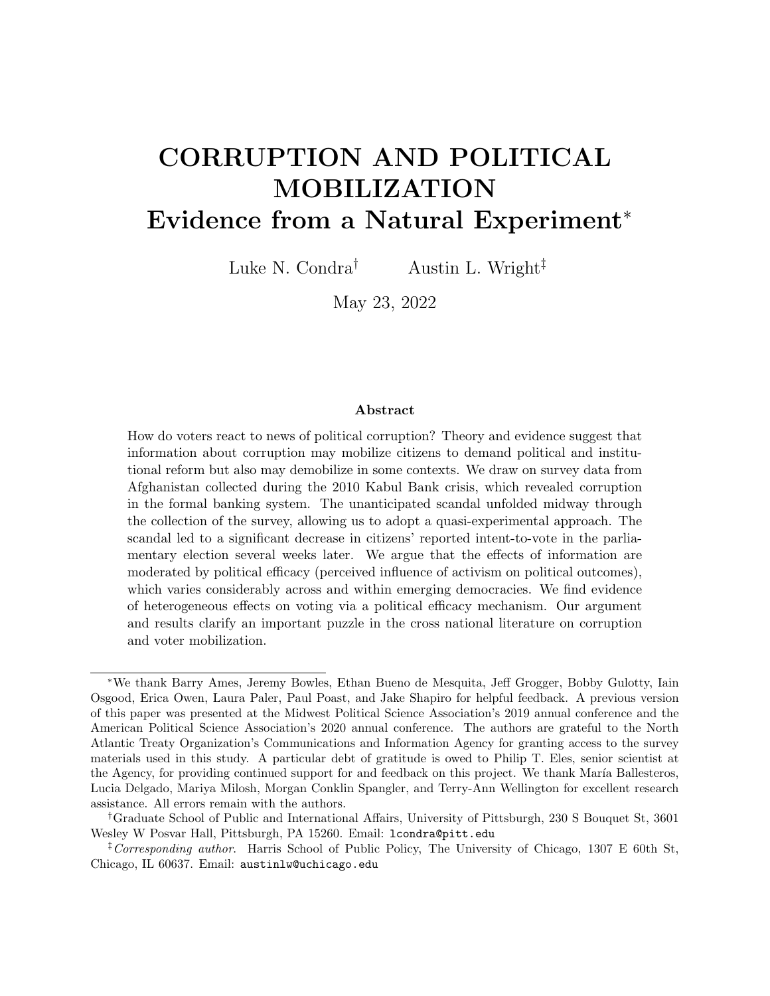"immunity" against the demobilizing effect of corruption scandals in places like Afghanistan where citizens see official corruption as a severe problem in society.

This article makes several contributions. First, our argument and evidence speak to how information can both mobilize and demobilize voters, depending on pre-existing political attitudes. Understanding how information about political corruption affects electoral participation is central to understanding processes of democratization where corruption threatens growth and political institutions. Dating back at least to Tocqueville and Mill, scholars of democracy have theorized that democratic participation makes people better citizens and strengthens the society's democratic norms and institutions.<sup>11</sup> As Jane Mansbridge observes: "As we look back over the history of small democracies—from the politically engaged daily life of the Athenian citizen, through the competition for office in the far less democratic Florentine republic, to the direct democracy of a New England town hall meeting—we find considerable evidence that engagement in political life and public responsibility go hand in hand."<sup>12</sup> Much of the experimental work linking corruption news to political mobilization comes from contexts where political efficacy is relatively high (e.g., Brazil), and in such places information has been shown to encourage electoral mobilization and accountability. But if we consider that in most places where corruption and elite capture are a first-order issue in politics,<sup>13</sup> individuals are characterized by relatively low political efficacy, responsiveness to information may follow quite different dynamics as a result. To be sure, like any single case, Afghanistan is unique in many respects and probably an outlier on some dimensions that affect turnout decisions, all of which makes generalizing from these results difficult. Our main theoretical point is that information about corruption might have different effects on turnout depending on levels of pre-existing political efficacy, which might help explain variation in existing results across countries and suggest a fruitful avenue of future research.

<sup>11</sup>Mansbridge 1998; Pateman 1976.

<sup>12</sup>Mansbridge 1998, 319.

<sup>13</sup>Pande 2008.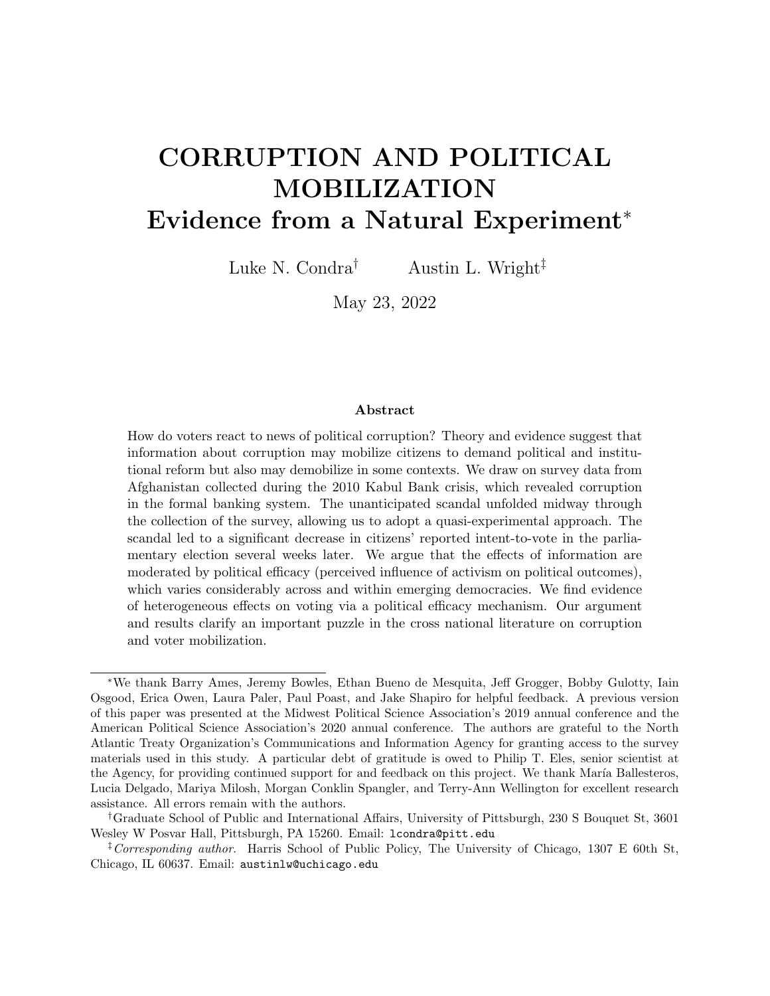Second, we increase confidence in the causal nature of our results by taking advantage of an unanticipated political event that "as if" randomly transmitted new information to citizens about political corruption during the course of a single survey just prior to a major national election. Features of this particular event and the survey data collection process accord with best practices laid out for estimating causal effects within this research design.<sup>14</sup> Some of the uncertainty in the literature on citizen responsiveness to political corruption derives in no small part from the paucity of opportunities available for scholars to exploit naturally occurring information shocks and study effects on turnout.<sup>15</sup> This financial scandal provides an excellent test of the informational theory in that it was unexpected, it was politically relevant because it occurred roughly two weeks prior to a national election of considerable importance, it involved corruption associated with the highest profile political actor in the country (President Karzai), and it was economically destabilizing. Indeed, we provide an explicit test of the informational mechanism's logic, the results of which should strengthen confidence in the plausibility of the information channel in this case.

Third, we study corruption in a highly relevant policy context and our results have implications for anti-corruption information campaigns in certain settings. Since at least as far back as 2006, a vast majority of Afghans consistently report that corruption is a major problem in the country.<sup>16</sup> The declassified Afghanistan Papers, a compilation of retrospective interviews conducted by the Special Inspector General for Afghan Reconstruction, indicate one reason for these views: tens of billions of dollars were siphoned from official projects to enrich political elites, warlords, and the Taliban. 129 of the roughly 400 interviews explicitly mention concerns about the role of corruption in undermining economic growth, political stability, and security provision in Afghanistan, and revealed that tens of billions of dollars were siphoned from official projects to enrich political elites, warlords, and the Taliban.

 $14$ Muñoz, Falcó-Gimeno and Hernández 2020.

<sup>15</sup>See, e.g., Ferraz and Finan 2008.

<sup>16</sup>Akseer et al. 2019, 22,142-44.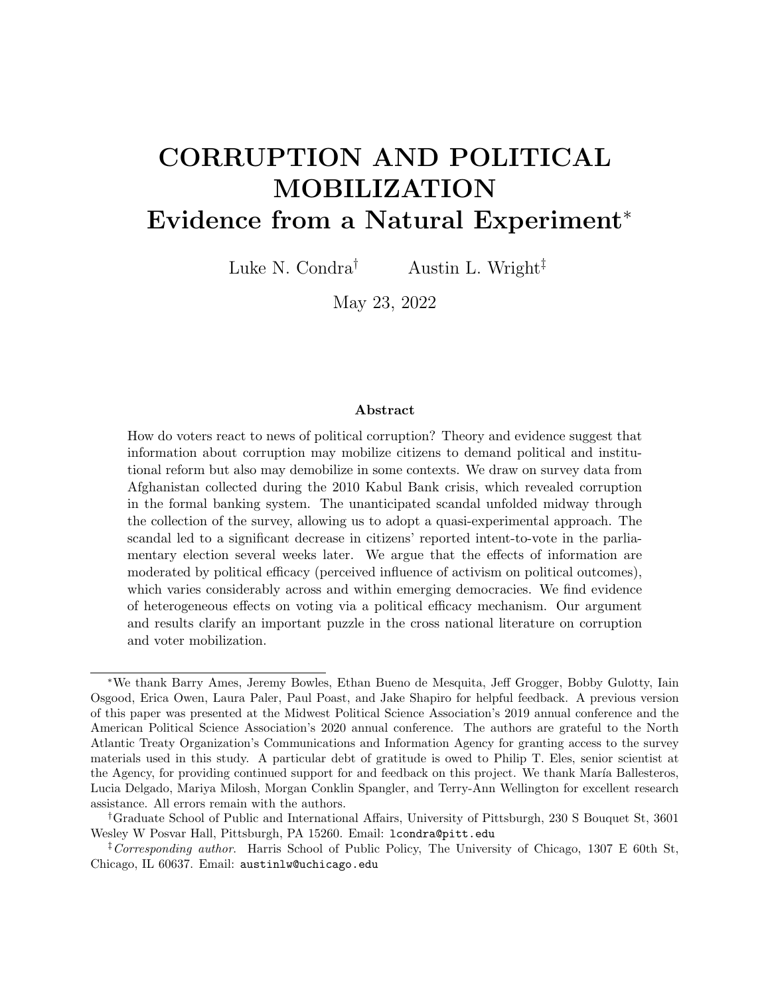As in other developing democracies that struggle with widespread corruption, information interventions would seem to hold promise as tools for increasing democratic participation and rooting out malfeasance. But the results here urge caution in expecting too much from increasing transparency and the availability of corruption-related information. For electoral sanctioning to work, voters must be made aware of corruption. But they must also be willing to denounce official corruption by turning out and voting against it.<sup>17</sup> The Kabul Bank scandal depressed intention to vote in this case and our results are consistent with the argument that in places where political efficacy is relatively low, information may not be enough to mobilize turnout and punish corruption. In fact, it may even demobilize political participation in the short term.

In the next section, we motivate our paper with a review of the theoretical and empirical work on this issue. In the third section we provide relevant background information on the Kabul Bank scandal. The fourth section explains the research design and describes the data used in the analysis. In the fifth section, we present the main results and then provide robustness checks on them, as well as describe supplemental results included in the Online Appendix. We conclude by discussing these results in the broader context of research on the persistence of political corruption in the developing world.

# Corruption and Mobilization

### Motivating Literature

How does information revealing official corruption affect voter attitudes and behavior? We situate our inquiry within a burgeoning, but inconclusive, theoretical and empirical literature on this question.<sup>18</sup> According to one theoretical logic, making citizens aware of government corruption increases their likelihood of turning out to vote because they want to punish cor-

 $17$ Boas, Hidalgo and Melo  $2019a$ .

<sup>18</sup>De Vries and Solaz 2017.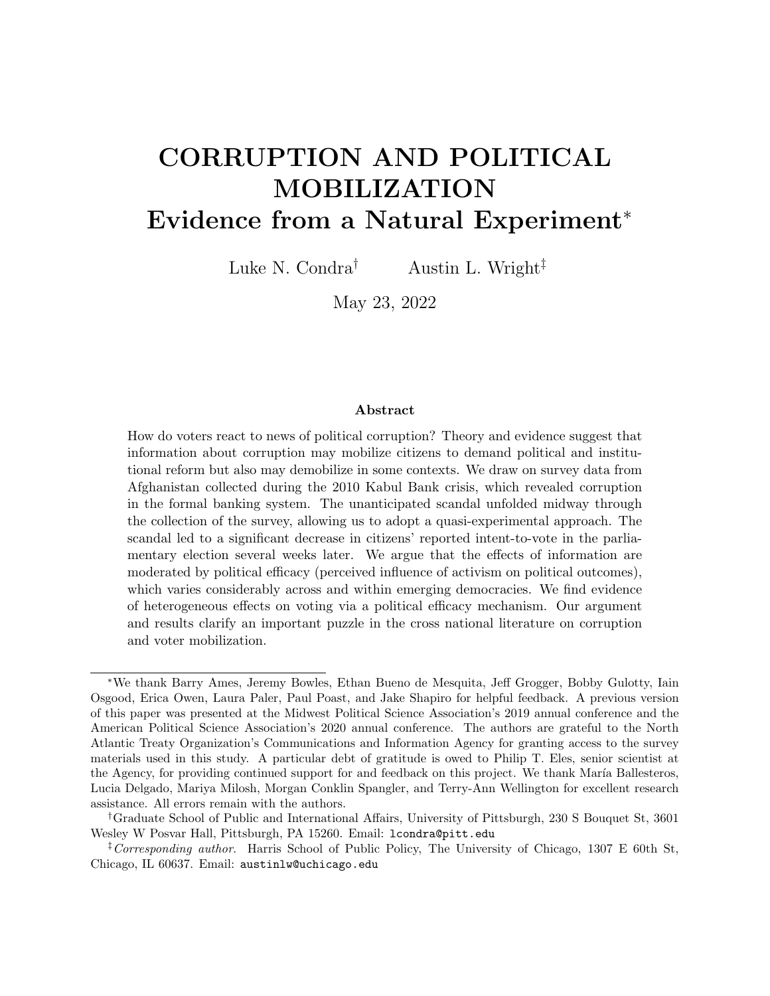ruption in the only way possible: at the polls. "Voters punish corrupt politicians if they have the opportunity to do so,"<sup>19</sup> either through a sanctioning or selection model of retrospective voting.<sup>20</sup> Indeed, there is considerable evidence that corruption information mobilizes voters and causes them to punish incumbents.<sup>21</sup> In a seminal paper testing the informational theory of voter behavior, Ferraz and Finan show that the release of information to the public about local government corruption had an appreciable effect on Brazilians' vote choice in the 2004 election.<sup>22</sup> The authors leverage the random selection of municipalities for government auditing of federal funds expenditures to compare the electoral outcomes of mayoral candidates in pre-election audited locales to post-election audited locales. Controlling for the level of municipality corruption, the release of audit information before the election significantly reduced incumbents' chance of reelection. Further in line with the informational theory of voter behavior, this effect was particularly pronounced in places where local radio was present, which facilitated the dissemination of information to the public. The fact that mayors with reelection incentives were shown to misappropriate substantially fewer resources relative to mayors without the possibility of reelection is consistent with the argument that politicians fear the political consequences of corruption being revealed to the public.<sup>23</sup>

This theory and evidence notwithstanding, we highlight three features of the literature that motivate our study. The first is a competing theoretical logic linking information to demobilization. According to this logic, we might expect revelation of official corruption to lead to lower turnout since knowledge of corruption delegitimizes the state in citizens' eyes and reduces their confidence in government's ability and responsiveness.<sup>24</sup> Evidence from a series of observational and experimental studies is consistent with this logic. Chang, Golden

<sup>19</sup>De Vries and Solaz 2017, 395.

<sup>20</sup>Ferejohn 1986; Fearon 2000.

<sup>&</sup>lt;sup>21</sup>Banerjee et al. 2011; Cruz, Keefer and Labonne 2021; Kostadinova 2009; Krause and Méndez 2009; Vicente and Wantchekon 2009; Wantchekon 2003; Winters and Weitz-Shapiro 2013.

<sup>22</sup>Ferraz and Finan 2008.

<sup>23</sup>Ferraz and Finan 2011.

<sup>24</sup>Seligson 2002; Caillier 2010.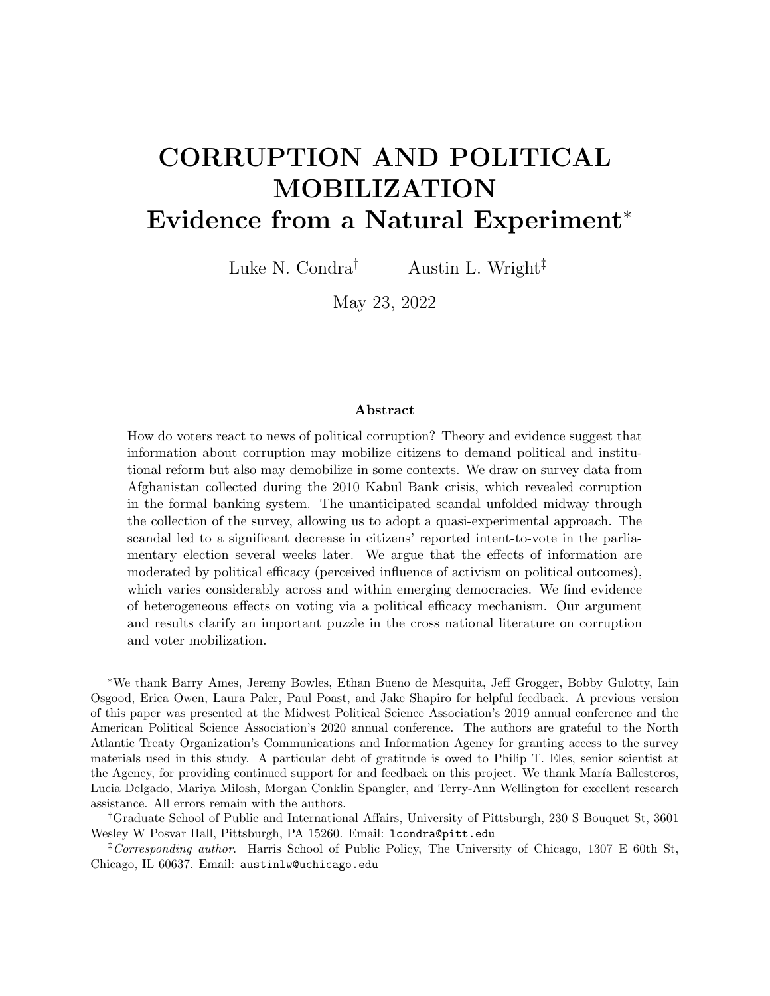and Hill find almost no evidence that the revelation of corruption-related information about members of the lower house of Italy's parliament affected voting behavior.<sup>25</sup> Official charges of malfeasance had no effect on the probability that a candidate ran in the next election; in only one of 11 legislative sessions between 1948 and 1994 did a charge of malfeasance have any effect on the probability of reelection. Even field experiments from other settings that deliver actual information on incumbents' performance often fail to find strong effects on voter behavior.<sup>26</sup> Random revelation of information about Ugandan MPs' performance did not affect the probability of their reelection.<sup>27</sup> In an innovative field experiment that delivered information about mayoral corruption to voters just prior to local elections in Mexico, Chong et al. found that learning about corruption actually reduced turnout slightly in treated precincts.<sup>28</sup> Most recently, a series of pre-registered, randomized control trials was conducted in multiple countries<sup>29</sup> and found that overall, neither positive nor negative information ("good" or "bad" news) about politicians had any discernible effect on vote choice or on turnout, either in the pooled samples or in the individual country samples.<sup>30</sup>

The second feature is an observation that much of the evidence showing a mobilization effect of information comes from research on Brazil,<sup>31</sup> which may not be representative of other emerging democracies on dimensions critical to the theory linking information dissemination and behavioral response. Indeed, there is compelling evidence that Brazil is an outlier in citizens' level of political efficacy, the degree to which citizens feel that their actions can effect political change.

Consider that out of 113 countries whose citizens were surveyed in 2016 by The Quality

<sup>25</sup>Chang, Golden and Hill 2010.

<sup>26</sup>Adida et al. 2019.

<sup>27</sup>Humphreys and Weinstein 2012.

 $28$ Chong et al. 2015.

 $^{29}$ Dunning and et al. 2019b.

 $30$ Dunning and et al. 2019a.

 $31$ Ferraz and Finan 2008, 2011; Ferraz, Finan and Moreira 2012; Muço 2021; Winters and Weitz-Shapiro 2013; Weitz-Shapiro and Winters 2016.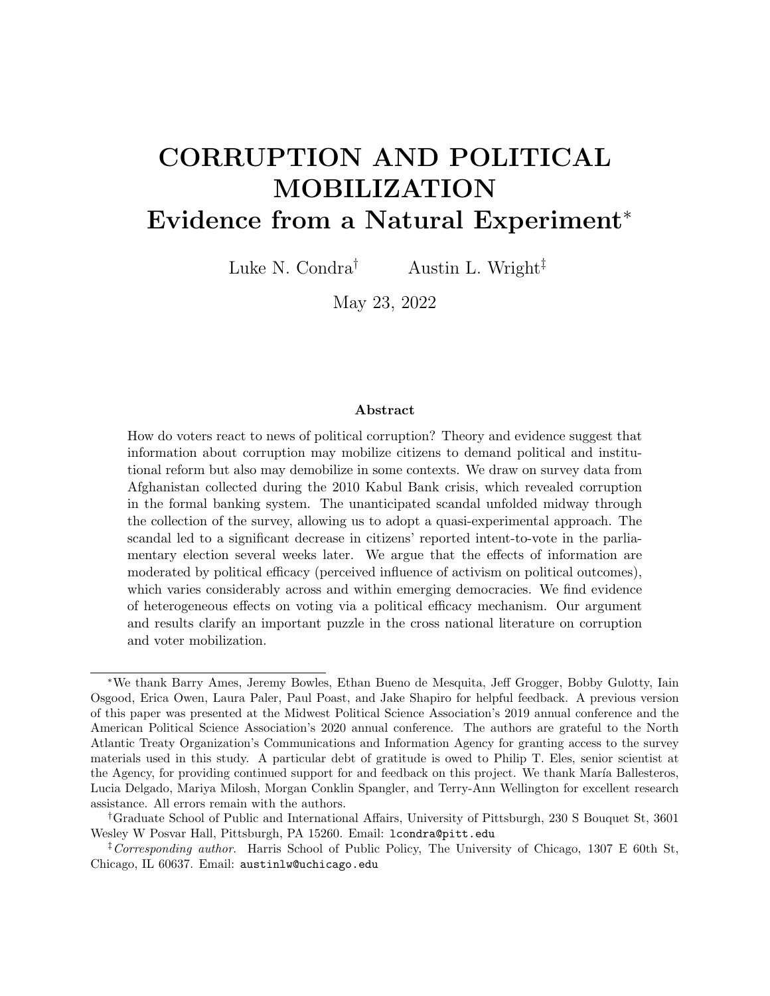of Government Institute, Brazilians reported the highest level of political efficacy specifically with respect to corruption. 83% of Brazilians agreed that they could make a difference in the fight against corruption; only  $5\%$  disagreed.<sup>32</sup> To more systematically assess cross-national differences and their implications, we gather supplemental data from the Comparative Study of Electoral Systems, which conducted a survey prior to the Brazilian election cycle studied by Ferraz and Finan.<sup>33</sup> We draw on two items from this survey: who people vote for makes a difference, and who is in power can make a difference. (We have re-scaled the variables such that stronger agreement with each statement takes the value 5 and strong disagreement takes the value 1.) We then plot the mean response for each survey item by country in Figure 1a and 1b. Notice that Brazil is in the bottom right quadrant, with high levels of corruption (lower values on Y) and high political efficacy (higher values on X). With respect to the broader cross-national distribution, a simple linear regression is a very poor fit for the data when Brazil and three other outliers are included  $(R^2=0.02)$ . When these outliers are excluded, political efficacy and levels of corruption are more strongly correlated  $(R^2=21)$ .

In these respects, Brazil represents cases in which we might have the strongest expectation that information will mobilize turnout to hold politicians accountable, since citizens are especially receptive to revelations of political corruption.<sup>34</sup> In principle, even small revelations of corruption can shift the attitudes and behaviors of individuals who overestimate their "pivotal" status in political reform. To better understand how information revelation influences electoral accountability more generally, we need evidence from other cases,

<sup>&</sup>lt;sup>32</sup>Teorell et al. 2018. Survey question: "Would you agree or disagree with the following statement: Ordinary people can make a difference in the fight against corruption." Mean country-level agreement in the dataset was 54%.

<sup>33</sup>CSES 2015; Ferraz and Finan 2008.

<sup>&</sup>lt;sup>34</sup>More recently, Pavão (2019, 94,100) analyzed 2016 data from Latin American countries and reported that Brazilian "citizens displayed strikingly high levels of efficacy against corruption"; "Brazil stands out as the country with the highest levels of efficacy against corruption in the region." Reinforcing this point is another study of 2008-2016 municipal elections in Brazil that finds "providing voters with concrete evidence of local corruption *increases* political engagement in the following elections" and "exposing corruption through municipal audits has a marginally positive effect on turnout levels in corrupt municipalities" (Rundlett, 2018, 59-60).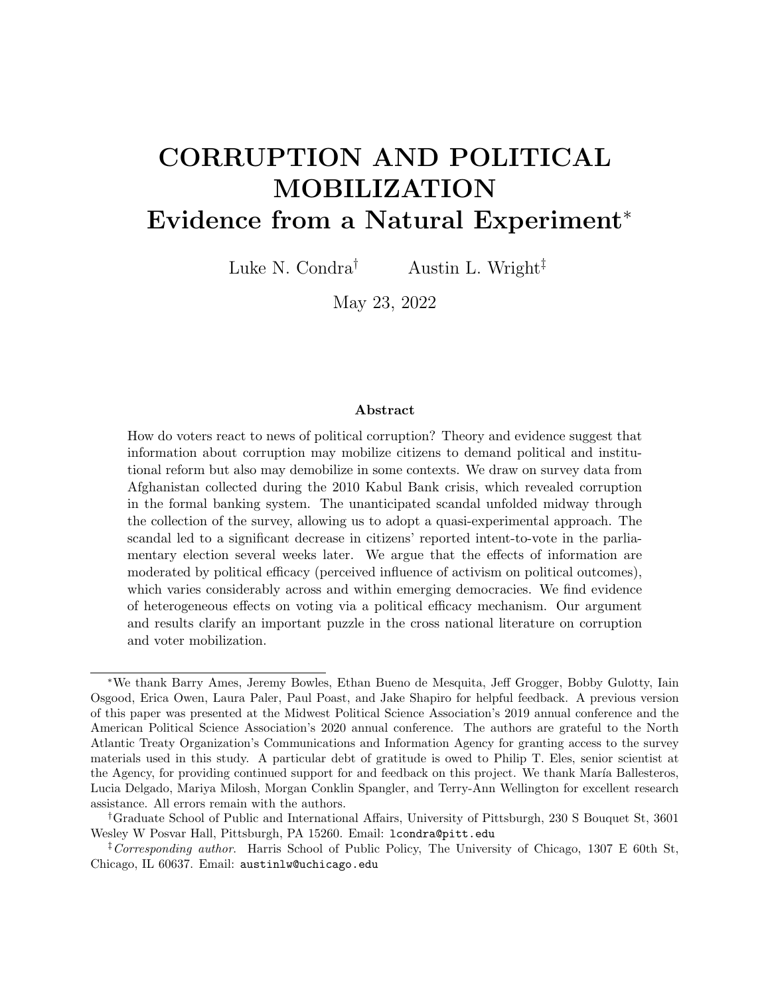Figure 1: Cross-national Evidence Linking Voter Beliefs about Efficacy and Corruption Scores



Notes: Higher anti-corruption scores indicate lower corruption; higher scores on voter dimension indicate stronger belief voting makes a difference. In Panel A, we plot data from CSES and CPI. Red dots indicate outliers. Red (dotted) line is fit through all data points. Black (dashed) line is fit through all data points except outliers (Albania, Brazil, Hungary, Romania). Slope coefficients, statistical precision, and model fit statistics noted in plot. In Panel B, we plot outliers with red (circle) dots and out-of-sample predictions about values of outliers on corruption score (outcome) with red diamonds. Vertical shift in projection noted with arrows.

especially where citizens report low political efficacy.

The third observation is that it is often difficult to draw broad and conclusive inferences from observational or experimental research designs. While observational studies have the virtue of analyzing the effects of real information on actual behavior, it is difficult to rule out possible confounds in the analysis. Lacking an exogenous source of identification considerably complicates the task of estimating effects of information on behavior.<sup>35</sup> As one recent review of this literature observes, "[t]he scant evidence from observational studies about the effect of exposing corruption on electoral turnout is inconclusive."<sup>36</sup> To more cleanly estimate effects of interest in this area, researchers have used survey experiments to examine the informational mechanism, and often find that providing respondents with information

<sup>35</sup>Malesky, Schuler and Tran 2012, 764.

<sup>36</sup>Chong et al. 2015, 56.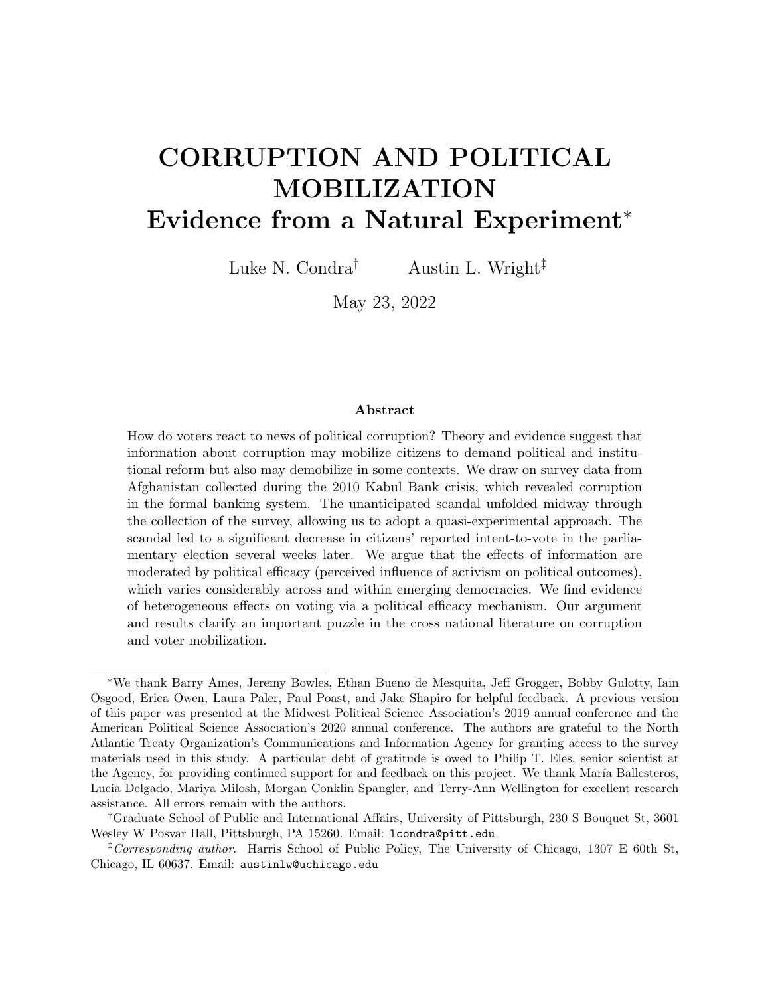about corruption reduces likelihood of voting in the experiment.<sup>37</sup> But since the informational "shock" in the surveys is hypothetical in nature, how relevant such results are for understanding real world dynamics is unclear. For example, one recent study shows that while survey experiments indicated that citizens react strongly and negatively to hypothetical political corruption in Brazil, the presentation of real evidence of political corruption did not affect actual voting behavior among those same citizens.<sup>38</sup> Another finds that results from field and survey experiments studying the effect of corruption on vote choice diverge significantly and argues that while "survey experiments may provide point estimates that are not representative of real-world behavior", "field experimental estimates may also not recover the 'true' effects due to design decisions and limitations."<sup>39</sup>

Our theoretical argument and research design are motivated by these features of existing work. We turn next to outlining that argument and noting aspects of the study's design that make it well suited for answering the research question.

### Moderating Role of Political Efficacy

To address this puzzle, we draw from scholarship on political efficacy in an effort to explain why information about corruption seems to have such divergent effects on citizen responsiveness across space and time. Political efficacy has been defined as "the feeling that individual political action does have, or can have, an impact upon the political process, i. e. , that it is worth while to perform one's civic duties. It is the feeling that political and social change is possible, and that the individual citizen can play a part in bringing about this change."<sup>40</sup> In her review of the expansive literature on democratic participation, Pippa Norris writes, "positive feelings of political trust, internal efficacy, and institutional confidence in parties,

<sup>37</sup>Avenburg 2016; Botero et al. 2015; Klasnja and Tucker 2013; Vera Rojas 2017; Winters and Weitz-Shapiro 2013, 2017.

 $38$ Boas, Hidalgo and Melo  $2019b$ .

<sup>39</sup>Incerti 2020, 761.

<sup>40</sup>Campbell, Gurin and Miller 1954, 187.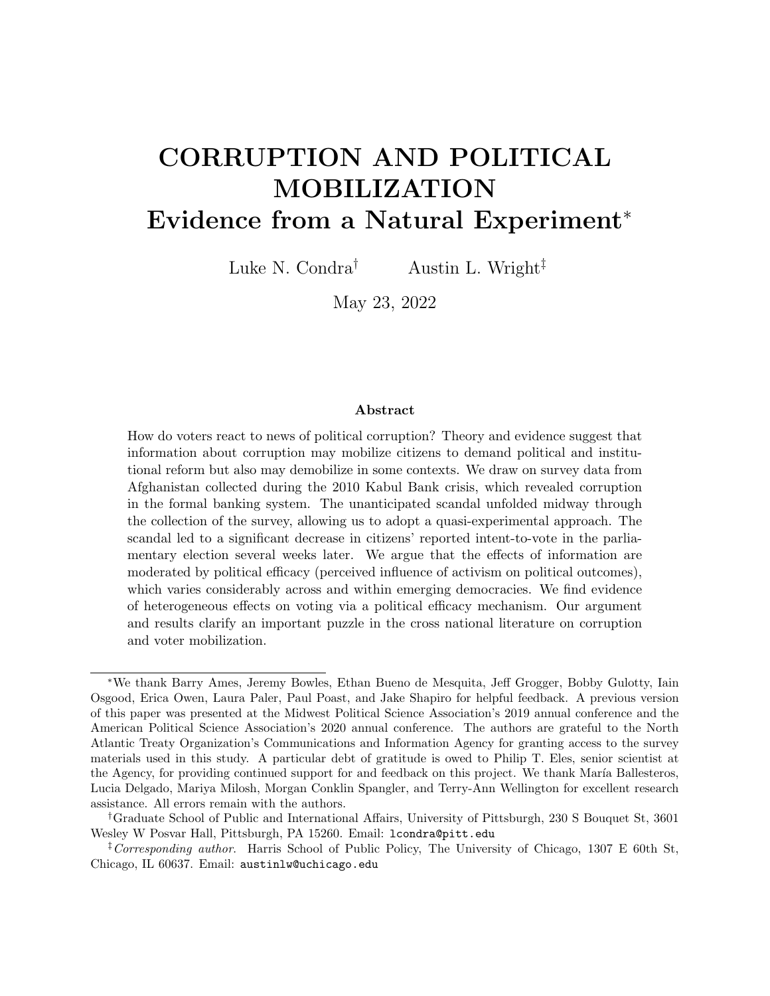legislatures, and the government are widely assumed to strengthen conventional activism such as voting participation, party membership, and belonging to voluntary associations.<sup>"41</sup> Indeed, there is evidence that efficacy increases the probability of voting.<sup>42</sup>

We are by no means the first to emphasize the link political efficacy and voter behavior. But we use this theoretical intuition to explain why providing the same information about corruption to individuals might affect their behavior differently. Where political efficacy is low, it will be difficult for information about political corruption to motivate citizens to turn out since they already have little confidence that voting can make a difference. In contrast, where political efficacy is higher and citizens think their vote can meaningfully affect political outcomes, updating their knowledge about corruption in government should more easily have a mobilizing effect at the polls. Where political agency is low, corrupt political institutions may decrease sensitivity to misconduct by undermining public trust in government more broadly.<sup>43</sup> The steady accumulation of scandals can also fatigue the public, lowering expectations of elected officials enough such that any impact on voting behavior is negligible.<sup>44</sup> When all political actors are perceived as corrupt, scandals may be crowded out by other voting issues.<sup>45</sup>

We reason that individuals with low efficacy–those who believe they do not have agency to influence outcomes through political engagement–will be demobilized by the emergence of a corruption scandal. However, as individuals' sense of their own efficacy strengthens, we expect the relative demobilizing effect of information to attenuate. At some point, when political efficacy is high enough, information should begin to mobilize voters to turn out, which is in fact what others have observed in some places, using a variety of research designs.

Empirically, features of our quasi-experimental design combine some of the strengths

 $41$ Norris 2011, 16.

<sup>42</sup>Norris 2004.

<sup>&</sup>lt;sup>43</sup>Hetherington 1998.

<sup>44</sup>Kumlin and Esaiasson 2012.

<sup>&</sup>lt;sup>45</sup> Pacek, Pop-Eleches and Tucker 2009; Pavão 2018.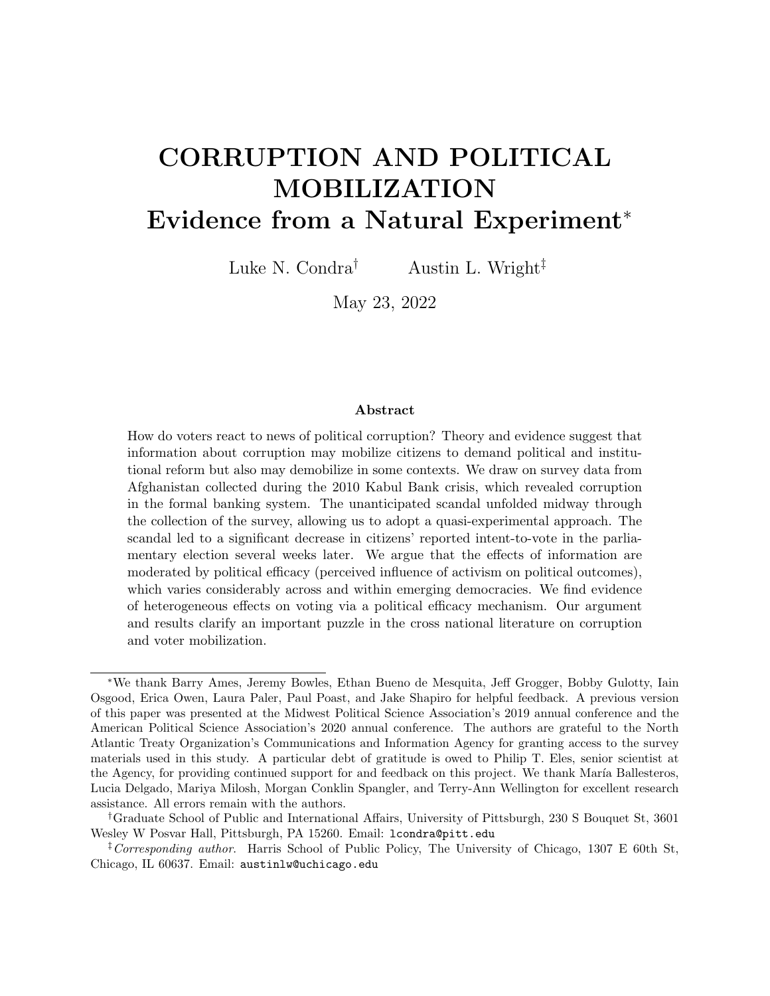from observational and experimental studies, yielding results we can have high confidence in about a real world corruption event of considerable importance. Natural experiments have strong potential for increasing our understanding of information's effects on behavior because they combine the strengths of observational and experimental approaches. Substantiated "as if" random assignment in natural experiments obviates confounding, and since the intervention is not externally designed, the data recovered "are often the product of [naturally occurring] social and political forces."<sup>46</sup> Unfortunately, there are few opportunities to leverage such naturally occurring informational shocks to citizens. In this paper, we make use of what others have described as an unexpected-event-during-survey-design to reliably estimate causal effects.<sup>47</sup> In the Data and Research Design section, we detail the ways in which we guard against threats to identification and robustness checks we perform to lend credibility to our claims to recover causal estimates.

### CONTEXT

To examine the political consequences of financial scandals, we exploit the unexpected onset of a major Afghan financial crisis: the 2010 Kabul Bank corruption scandal and subsequent government bailout. Potentially fraudulent activity was reported to the Afghan Central Bank, Da Afghanistan Bank (DAF), in 2009. Despite these reports, banking transactions remained stable, large-scale withdrawals (runs) by individuals did not occur, and external advisers from Deloitte did not follow up on fraud allegations. By late August 2010, however, DAF mandated the removal of Chairman Farnood as well as Chief Executive Officer Khalilullah Ferozi. Kabul Bank was put into conservatorship on August 28. After the government announced its seizure of the bank, panic spread and a large-scale run on the bank's deposits occurred. Within days, 180 million USD in savings were withdrawn, jeopardizing

 $46$ Dunning 2012, 16.

<sup>&</sup>lt;sup>47</sup>Muñoz, Falcó-Gimeno and Hernández 2020.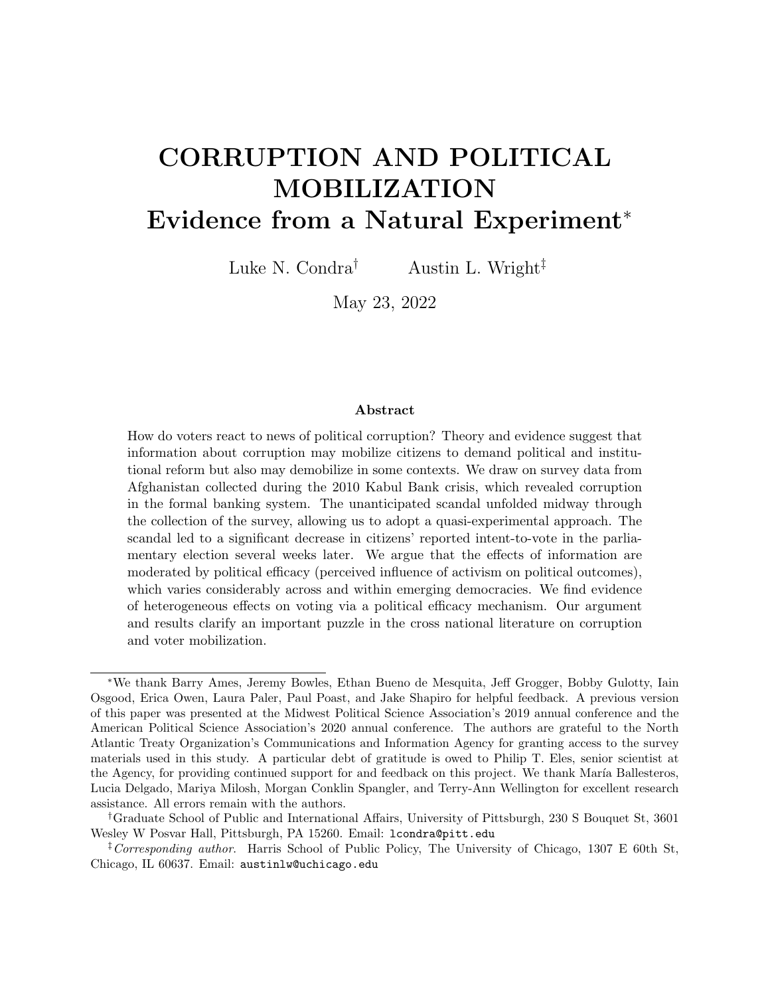the bank's solvency.

Since "the precise time at which a corruption scandal breaks in the news...although, unexpected for most citizens, might be actually planned by politically motivated actors",<sup>48</sup> an important aspect of this timeline for our study is that the revelation to US authorities that set in motion the events of July and August 2010 (including the scandal becoming public knowledge) does not seem to have been timed strategically to coincide with the parliamentary election. Nor did elites paying attention to these issues at the time anticipate it. Observers explain Farnood's revelation of information to US authorities as not only unexpected in its timing, but self-serving in purpose:<sup>49</sup> "Quite unexpectedly that month [July 2010], Kabul Bank Chairman Sherkhan Farnood visited the U.S. Embassy in Kabul and blew the whistle on Kabul Bank, telling the U.S. embassy staff 'everything.' Farnood told all because he and CEO Ferozi had a falling out that summer and, consequently, Farnood was reported to have feared losing his influence at Kabul Bank."<sup>50</sup> This contextual information about the breaking of the scandal is useful for increasing confidence that in this respect, the Kabul Bank scandal can be treated as an unexpected event during survey.

The Kabul Bank scandal revealed serious flaws in Afghanistan's weak banking institutions.<sup>51</sup> From 2004 to 2010, the bank issued roughly 74 million USD in legitimate loans and more than 860 million USD in fraudulent loans. The Bank's illegal activities included speculative investments in Dubai real estate, the commercial airline Pamir Airways, and the reelection campaign of then-president Hamid Karzai. The Bank also loaned Mahmoud Karzai, the president's brother, 22 million USD which he used to purchase enough Kabul Bank shares to make himself the third largest shareholder.<sup>52</sup> The DAF intervention kept the Afghan banking system afloat, forestalling a potential economic collapse. The effectiveness

<sup>&</sup>lt;sup>48</sup>Muñoz, Falcó-Gimeno and Hernández 2020, 190-91.

 $^{49}$ Higgins 2010.

 $50$  The Kabul Bank Scandal and the Crisis that Followed N.d., 9.

<sup>51</sup>Kos 2012; Rosenberg 2012.

<sup>52</sup>See Strand 2014 for background on the Bank's links with political officials.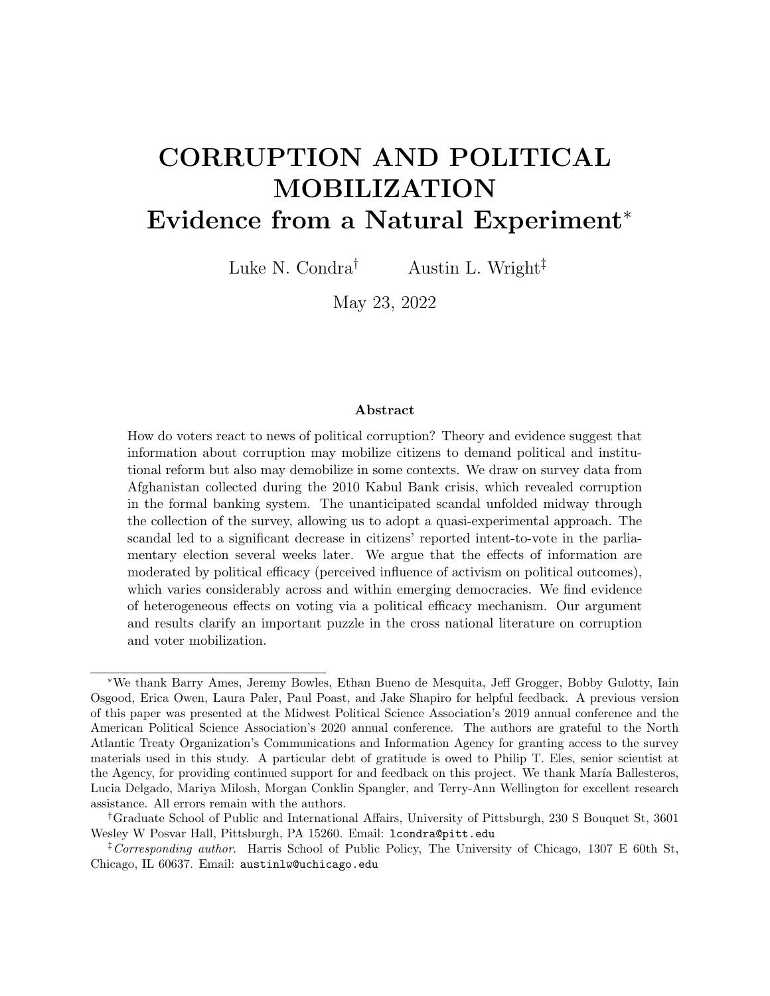of this bailout, however, remained highly uncertain during the short window we study after the scandal emerged.

We study the effect that the scandal had on a useful and informative measure of political engagement: citizens' intention to vote several weeks later in the parliamentary election. Scholars in other contexts have carefully studied intention to vote as a meaningful measure of electoral participation, such as in Spanish elections after terrorist attacks<sup>53</sup> and as part of efforts to study the effects of information campaigns on voting behavior.<sup>54</sup> One might be concerned that respondents' intention to vote is systematically higher than actual turnout, as has been documented elsewhere.<sup>55</sup> Given the data available in our case, this is an empirical question which we can investigate. We gather official turnout data by province and calculate a comparable intent-to-vote by province.<sup>56</sup>

In Figure 2, we plot province-level averages from the intent-to-vote survey question we use in the main analysis below  $(X \text{ axis})$  against official turnout in the province (weighted by voting age population)  $(Y \text{ axis})$ . We overlay the line of best fit on the scatterplot. While there are a few provinces off the regression line, the correlation coefficient is 0.624 and intention-to-vote explains just over half of the variation in actual turnout in the subsequent election. Although we cannot make inferences about turnout at the individual level from these aggregate statistics, this exercise gives us more confidence that our measure of intentto-vote is likely to map on to actual voting behavior.

# DATA AND DESIGN

To estimate the effects of the Kabul Bank scandal, we study Wave 9 of the Afghanistan Nationwide Quarterly Research (ANQAR) survey collected from August 25, 2010 to September

<sup>53</sup>Balcells and Torrats-Espinosa 2018.

<sup>&</sup>lt;sup>54</sup>Lierl and Holmlund 2019; Platas and Raffler 2019.

<sup>55</sup>Achen and Blais 2016.

<sup>56</sup>As we detail below, our survey is stratified by province and yields a representative sample at this level, which enables us to confidently calculate aggregate statistics by province.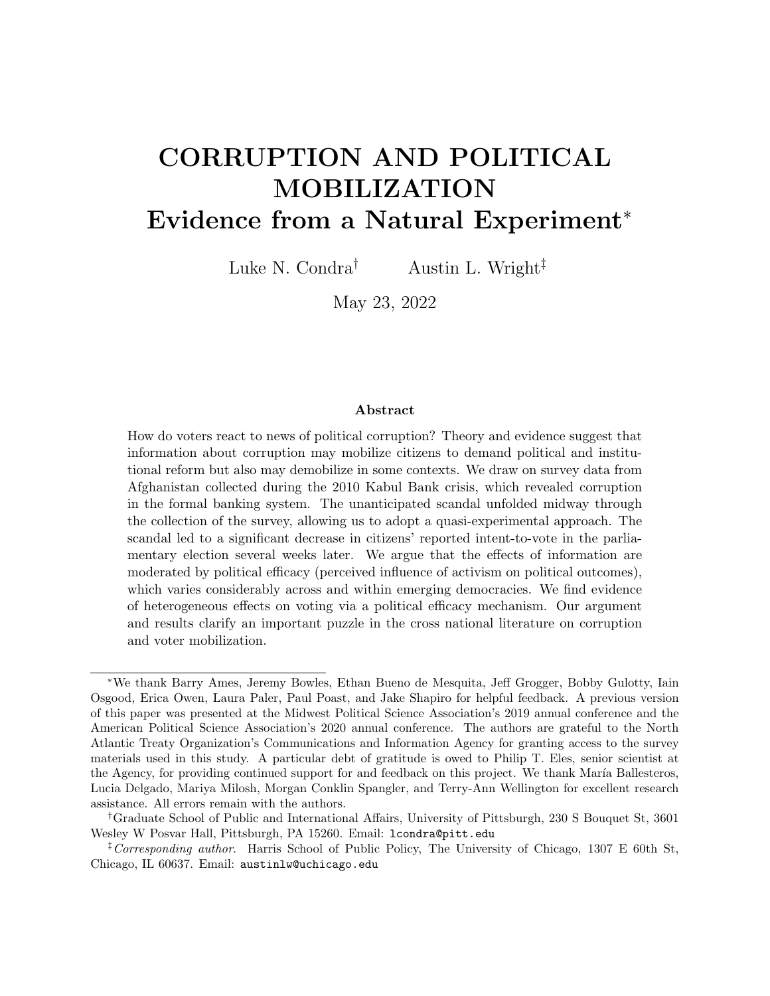Figure 2: Intention-to-Vote against Turnout in 2010 Afghan Election



Notes: Figure displays province-level averages of pre-election intent-to-vote (from Afghanistan Nationwide Quarterly Research survey data) and official turnout (from publicly available Independent Election Commission of Afghanistan data), weighted by voting age population (from Afghanistan's Central Statistics Organization population estimates).

3, 2010.<sup>57</sup> The North Atlantic Treaty Organization (NATO) contracted the Afghan Center for Socio-Economic and Opinion Research (ACSOR) to design and implement the survey. ACSOR selected enumerators from the sampled regions and trained them in proper household and respondent selection, recording of responses, culturally appropriate interview techniques, and secure use of respondent information. The administrative district is the primary sampling unit and districts are selected via probability proportional to size systematic sampling. We rectify the sampling frame used by ACSOR with the administrative map produced by the Empirical Studies of Conflict (ESOC) group. Among sampled districts, secondary sampling units (villages/settlements) are randomly selected from a sampling frame based on records from the Afghan Central Statistics Organization. A random walk method is used to identify target households and a Kish grid technique is used to randomize the respondent within each target household. ACSOR is able to secure access to sampled settlements by

<sup>57</sup>Figure SI-5 shows that the sample collected in Wave 9 appears to be consistent with demographic information collected across 13 years of data available from the Asia Foundation.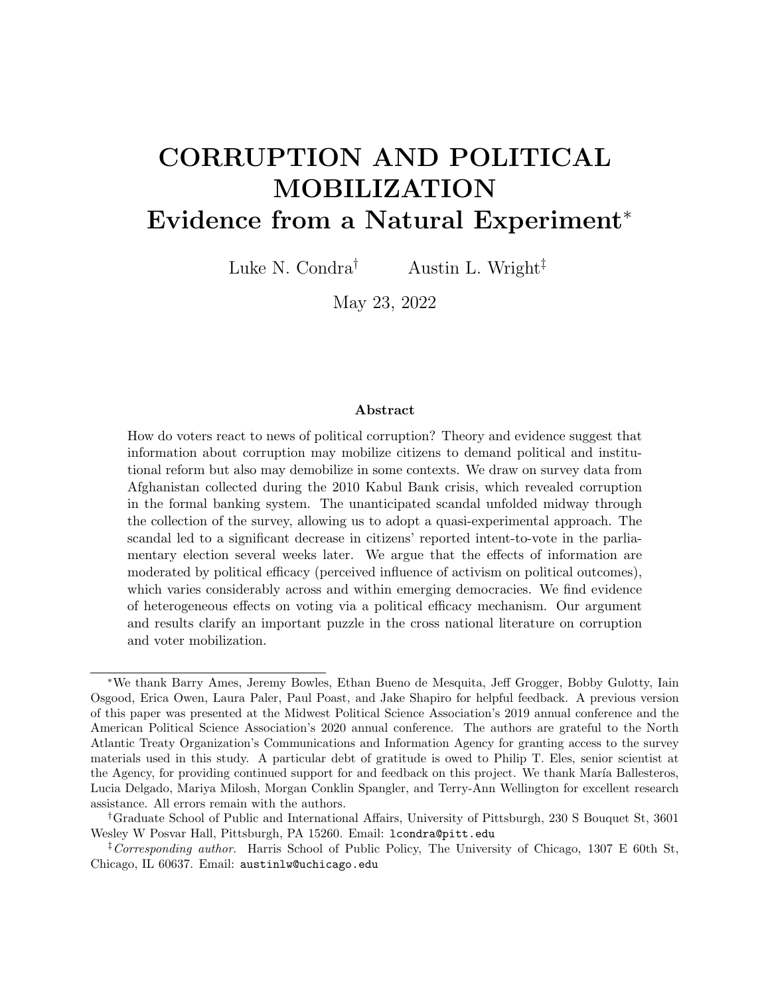establishing ties with local elders.<sup>58</sup>

Importantly for our research design, the survey sampling sequence was set ahead of, and unaltered by, the financial scandal. Above, we provided a substantive examination of the event in an effort to validate excludability assumptions inherent in a research design of the kind we employ here.<sup>59</sup> Here, we provide evidence for a crucial element of the research design, that any differences we observe between respondents surveyed before and after the event are a consequence of that event.<sup>60</sup> We plot a visualization of households sampled within each district after the scandal broke in Figure 3a and 3b. Several features of the spatial allocation of enumeration are apparent. A large number of districts sampled entirely before or after the scandal are clustered geographically and are contiguous to districts of the opposite status (i.e., entirely before or after) (Panel A). To address concerns about potentially imbalanced probability of sampling (by date) across districts (due to, for example, ease of access to a given district by road), we introduce a district fixed effect in our main specification. Our estimation therefore relies on within-district variation in the sequencing of enumeration. To visualize the spatial distribution of districts with variation in sampling before and after the scandal, focus on Panel B. Notice that these districts are effectively scattered in a quasirandom fashion within provinces and across the country. Because there still may be residual imbalances in observable characteristics sampled within these districts, we incorporate a number of demographic characteristics of surveyed respondents (see balance tests below for additional discussion).

We leverage the unexpected onset of the Kabul Bank crisis during the course of our survey

<sup>58</sup>See Figure SI-4 for data on refusal rates, non-contact rates, and overall cooperation rates across ACSORenumerated waves of ANQAR for which data are available (Waves 16-38). This means we cannot produce these statistics for our study wave despite it also being conducted by ACSOR. Importantly, the survey collection critiqued in Blair, Imai and Lyall 2014 was conducted by Eureka Research, not ACSOR. Overall, the refusal rates observed by ACSOR are lower (∼3.6%) than those reported in a comparable survey (∼15%) conducted in Afghanistan in 2011 (see Lyall, Shiraito and Imai 2015).

 $59$ Muñoz, Falcó-Gimeno and Hernández 2020, 194.

 $60$ Muñoz, Falcó-Gimeno and Hernández 2020, 189.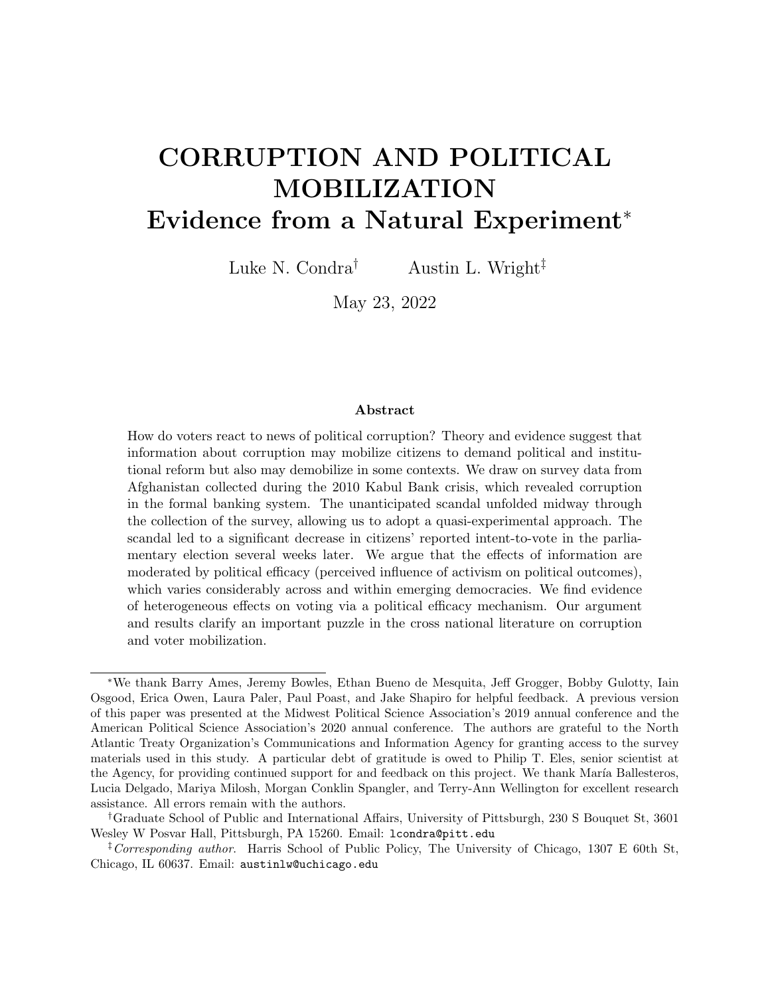

Figure 3: Percentage of households by district enumerated after the scandal emerged

Notes: Figure displays binned classifications of the percentage enumerated on or after day 6 of sample. In Panel A, all survey respondents were enumerated either before (green) or after (blue) the scandal. In Panel B, we plot districts with variation in the timing of sampling before *and* after the scandal. Light blue indicates 1-40% enumerated during the post period; medium blue indicates 40-60%; dark blue indicates 61-99%. Districts that were not sampled are noted with grey diagonal lines.

to study the impact of the financial scandal on intention-to-vote. We develop a timeline of the scandal using unclassified documents provided by the U.S. Agency for International Development, as well as secondary sources. The timeline is shown in Figure 4.

The fourth day of our survey, August 28, is when the government puts Kabul Bank into conservatorship. Bank runs begin on the next day. By August 30, the crisis expands, with the bank listing 300 million USD in investment losses. Notice that the daily total of surveys collected reaches its peak during the second day of the scandal. Because it may take time for information about the scandal to spread, we classify day 6 and later as the "post" period of our analysis.<sup>61</sup> If some survey respondents in fact receive information about the scandal on day 5, we expect that this will bias our estimated effects downward (attenuation towards zero), since treated units are classified as controls. In our sample, 4,601 households are surveyed before day 6 (pre), while 5,485 are surveyed on or after day 6 (post).

Although the spatial allocation of timing around the unexpected scandal outbreak is  $61$ In the analysis below, we show the results are robust to varying this cutoff.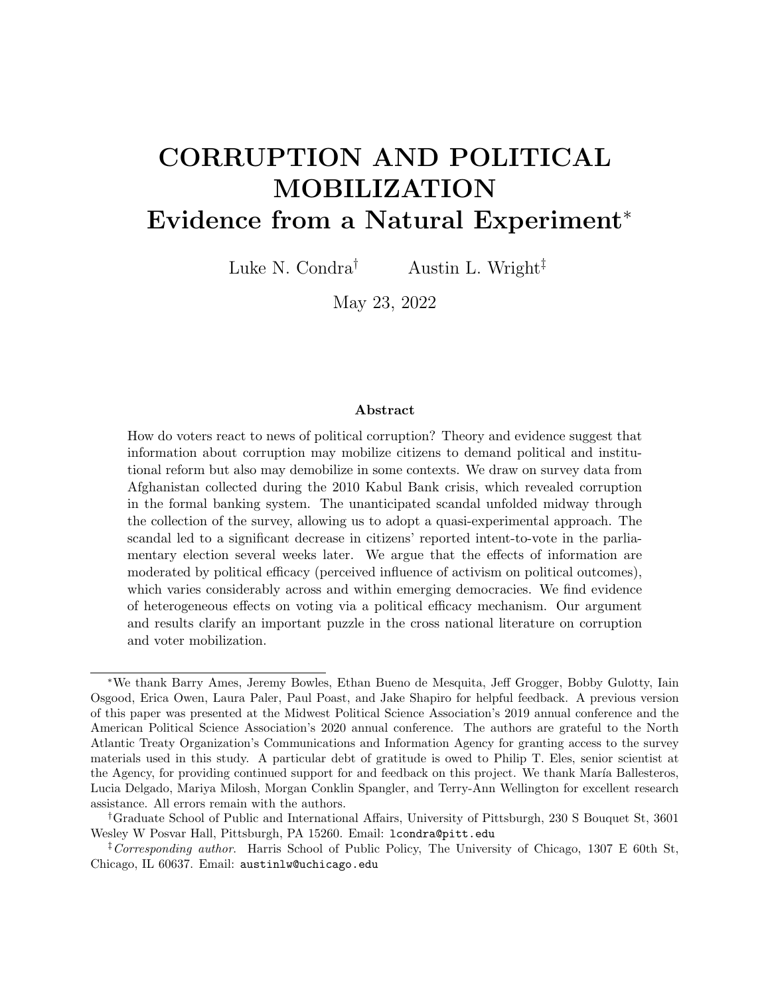Figure 4: Timeline of Kabul Bank crisis and survey collection



Notes: Dark line indicates the daily total of respondents enumerated by day of the sample. See text for descriptive total figures before and after day 6. The timeline is reconstructed from USAID Report No. F-306-11-003-S (see https://tinyurl.com/y2pn2ql2) and secondary sources (see, e.g., https://tinyurl. com/ya9thog2).

plausibly random, it is still possible that imbalances are present across households enumerated before and after the scandal broke. Practically, this is the quasi-experimental equivalent of failed randomization within a randomized control trial. To investigate this, and as recommended to check for imbalances on observables, we use multivariate regressions to produce point estimates for our main and supplemental demographic and household characteristics, where the outcome is being sampled in the post period.<sup>62</sup> We present these point estimates in Figure 5. Of the ten coefficient estimates, we find none statistically significant at the 5% level, and two statistically significant at the 10% level. This evidence suggests that the sequence of enumeration was "as-good-as-randomized" around the Kabul Bank scandal.

Our design allows us to hold general characteristics associated with voter engagement and voting preference fixed as they are differenced out during estimation. That is, any systematic differences between demographic groups are taken into account and held fixed by the research

 $^{62}\rm{Mu\~{noz}}$ , Falcó-Gimeno and Hernández 2020.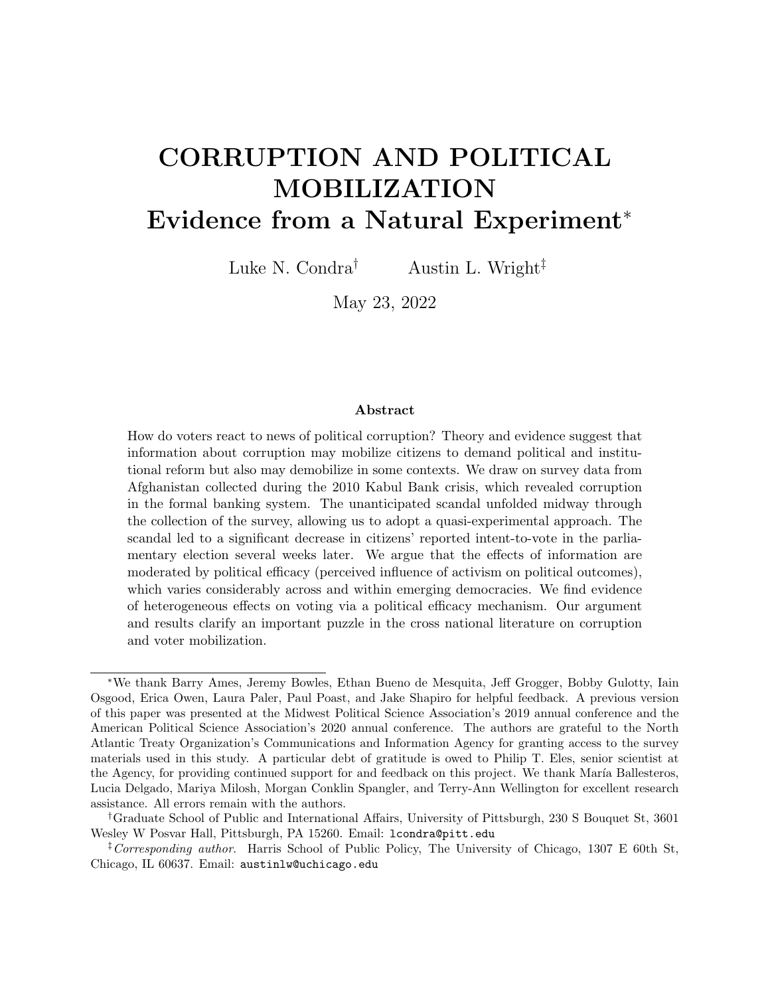

Figure 5: Regression-Based Balance Tests across Pre/Post

Notes: Coefficient plots from regression where outcome of interest is an indicator variable for post (equals 1 if a respondent is sampled in Day 6 or later), 95% confidence intervals shown. Ethnicity is split into four dummy variables for ethnic groups with at least 500 individuals sampled. Following the main regressions, district fixed effects are included and standard errors are clustered by administrative district.

design. However, because our survey is not longitudinal (sampled respondents are only sampled once), some individual characteristics may vary among the surveyed populations before and after the scandal. We address this concern above by demonstrating balance before and after the scandal. To partial out any residual variation correlated with their characteristics and improve precision, however, we incorporate demographic characteristics in our baseline specification. We begin by studying equation (1):

$$
y_i = + \text{Post}_{S} \text{cand} \quad 1i + D_i + X_i + \tag{1}
$$

where  $y_i$  is the respondent's intention-to-vote. Changes in intention-to-vote reveal whether the scandal affected voters ahead of the parliamentary election several weeks later.  $Post_{S}c$  and all takes the value of 1 if the respondent is surveyed after the scandal expands (August 30 or later).  $D_i$  indicates district-level fixed effects and  $X_i$  is a vector of control variables. All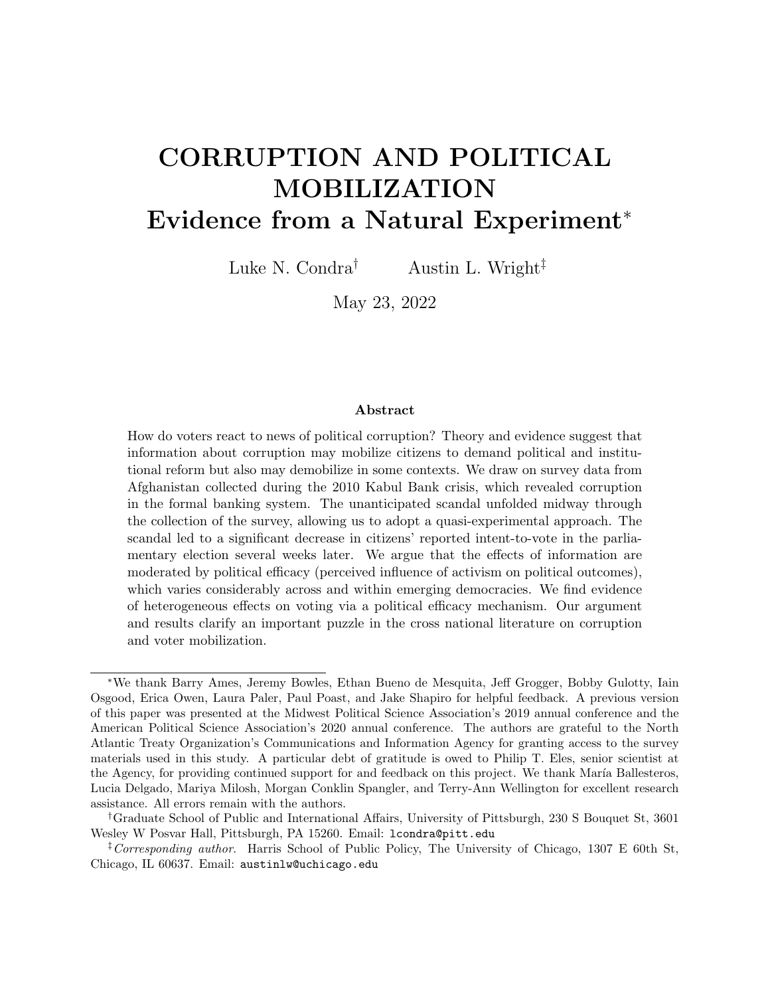models include age, age squared, gender, education, and ethnicity as demographic controls. We also include a set of indicator variables to control for individual non-responsiveness to relevant questions. Robust standard errors are clustered by district to account for potential spatial clustering in exposure to insecurity and the sampling design (i.e., correlation of survey timing within the primary sampling unit). All models are adjusted using population sampling weights.

Other conditions might influence respondent's preferences, including local security dynamics, government control of the respondent's area, and security force patrol frequency. We incorporate these parameters in our robustness checks. In addition, surveys relying on direct questions may yield biased estimates if respondents do not truthfully reveal their preferences or beliefs. In the absence of indirect questions or a list experiment, these concerns are difficult to rule out definitively. We attempt to address these concerns in several ways. First, enumerators were asked to identify (and record) the respondent's level of comfort and understanding of the survey. Second, enumerators recorded the number of people present during the interview. Respondents who are unfamiliar or uncomfortable with responding to questions from non-family members may give unreliable answers. Responses collected in the presence of a large number of people might also be less reliable. We incorporate these measures as additional parameters in our robustness checks.

# **RESULTS**

### Main Results

We examine the impact of the scandal on intention to vote and present main results in Table 1. Column 1 is from our baseline model with district fixed effects and demographic controls as described above. Overall, we estimate a sizeable (10%) decrease in intent-to-vote.

We next turn our attention to several robustness checks. It is possible that the scandal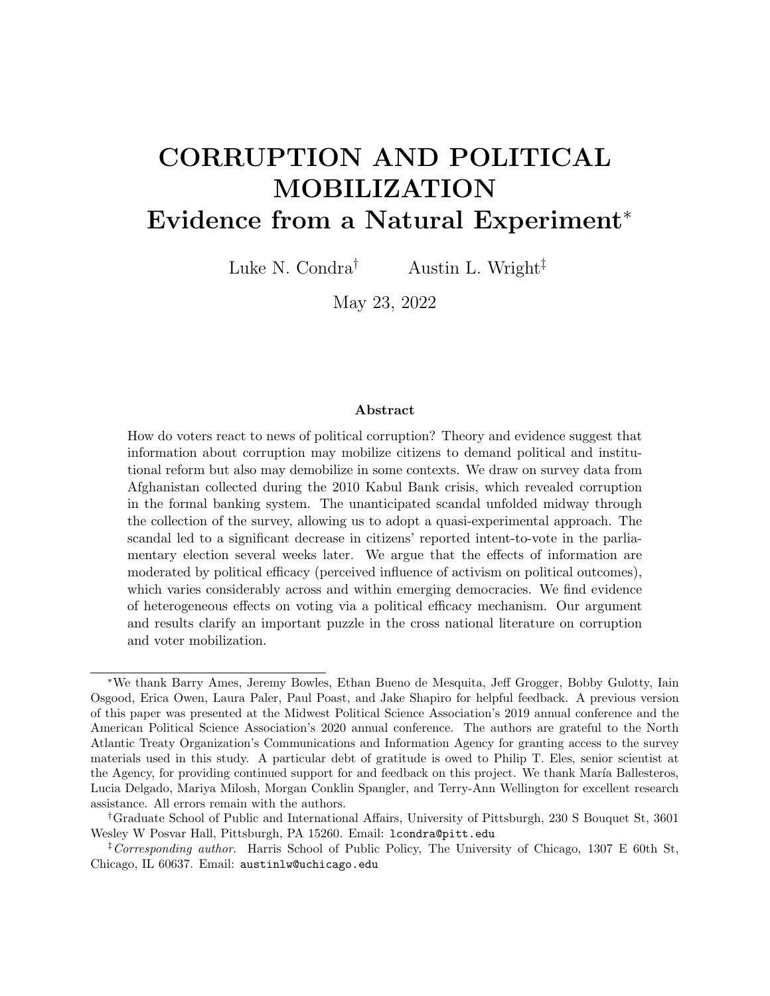|                              | $\left(1\right)$ | $\left( 2\right)$    | $\left( 3\right)$       |
|------------------------------|------------------|----------------------|-------------------------|
|                              | Benchmark        | Benchmark - Security | Benchmark - Survey Bias |
| Post                         | $-0.108**$       | $-0.106**$           | $-0.105**$              |
|                              | (0.0459)         | (0.0435)             | (0.0442)                |
| <b>SUMMARY STATISTICS</b>    |                  |                      |                         |
| Outcome Mean                 | 0.699            | 0.699                | 0.699                   |
| Outcome SD                   | 0.459            | 0.459                | 0.459                   |
| <b>PARAMETERS</b>            |                  |                      |                         |
| District FE                  | Yes              | Yes                  | Yes                     |
| Demographic Controls         | Yes              | Yes                  | Yes.                    |
| <b>ADDITIONAL PARAMETERS</b> |                  |                      |                         |
| Security                     | N <sub>0</sub>   | Yes                  | Yes                     |
| Govt. Control                | No.              | Yes                  | Yes                     |
| Govt. Patrols                | No.              | Yes                  | Yes                     |
| Survey Bias Controls         | N <sub>o</sub>   | N <sub>o</sub>       | Yes                     |
| <b>MODEL STATISTICS</b>      |                  |                      |                         |
| N                            | 9803             | 9803                 | 9802                    |
| Clusters                     | 240              | 240                  | 240                     |

Table 1: Estimates of Financial Scandal on Intent-to-Vote

Notes: Outcome in Table 1 is: "Do you plan to vote in the upcoming election?" Unit of analysis is individual survey respondent. All models include administrative district fixed effects (using ESOC boundaries), as well as baseline demographic controls (age, age squared, education, gender, ethnicity). Standard errors clustered at the district level and are presented in parentheses, stars indicate \*\*\*  $p < 0.01$ , \*\*  $p < 0.05$ , \*  $p < 0.1$ .

affected corruption and voting behavior differently in places with poor security provision, weak government control, and limited efforts by the government to thwart insurgent activity. To address these concerns, we add a vector of control variables to our main specification in Columns 2 and 3 in Table 1. In particular, we account for self-reported village security, extent of government control over the respondent's area, and the patrol frequency of security forces. Our balance tests suggest these factors are balanced, so our point estimates should not vary substantially, but these additional parameters may increase the precision of the main effect. Indeed, our point estimates are indistinguishable from the baseline model. In Column 3 of Table 1, we account for whether the survey respondent was comfortable with the survey and understood most of the survey instruments (separate parameters). We also address potential concerns about household size and the number of people present during the interview, both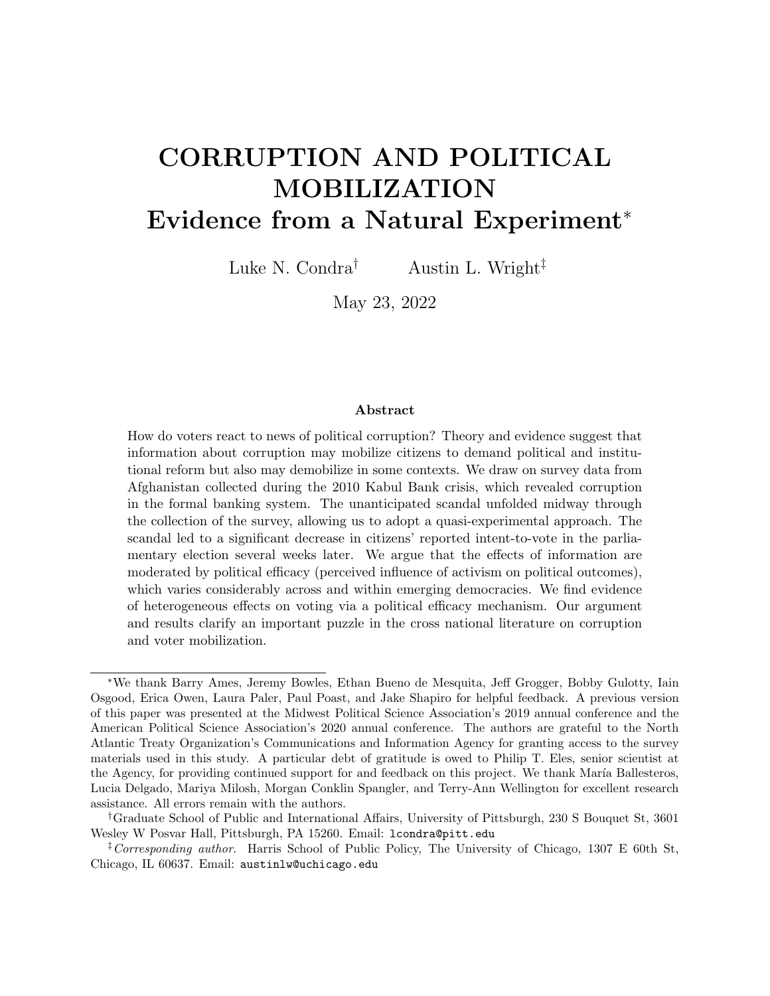of which may increase the likelihood the subject did not answer questions truthfully. The core results on intent-to-vote are unaffected.

These results suggest that revelation of corruption significantly and negatively affected citizens' intention to vote in the parliamentary election two weeks later. Our identification strategy leverages the "as if" random sampling of survey respondents before and after the scandal emerged to estimate the short-term political consequences of the crisis. The quasiexperimental approach we take lends credibility to our estimates. Yet it is difficult to assess the medium-run effects of the scandal on actual voting patterns in the parliamentary election two weeks after our survey was completed. This is a weakness that our natural experiment does not allow us to address. Voter turnout may have been substantially affected by the scandal in ways that our survey does not allow us to identify due to the narrow time window around which we can plausibly claim to make causal inferences. Perhaps more importantly, it is possible that citizens did not fully recognize the extent of the criminal acts at the Kabul Bank or the network of political actors implicated by the scandal until long after the election.

But why did information about the scandal demobilize voters in this case, on average? As we argued above, we expect that this is due, in part, to Afghan citizens generally not feeling that political activity can make much of a difference in the political process. We turn next to an empirical exploration of this argument.

### Heterogeneous Effects of Political Efficacy

The ANQAR survey does not provide any information on respondents' political efficacy, so we cannot examine how this might have moderated any information effect of the scandal on intent-to-vote at the individual level. Instead, we take advantage of another high quality survey that the Asia Foundation conducted across Afghanistan between June 18 and July 5, 2010, only weeks before the ANQAR survey was enumerated and the Kabul Bank scandal unfolded. The Asia Foundation survey asked respondents "How much influence do you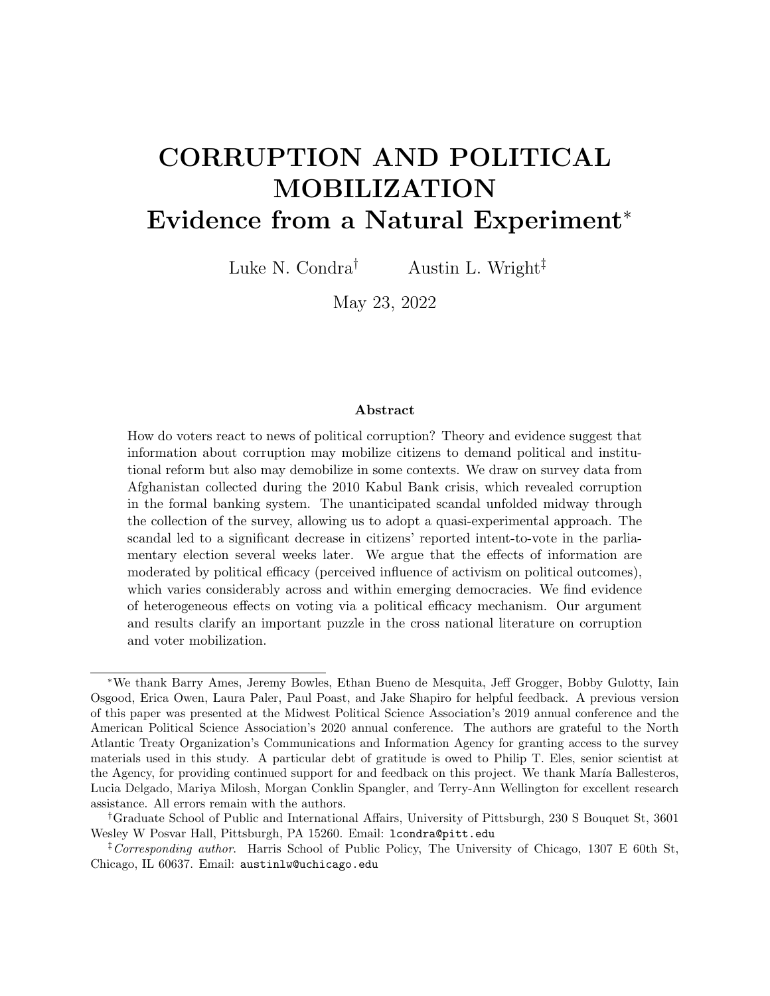think someone like you can have over government decisions?", an ideal measure of personal efficacy in the political process. Across 6,259 respondents, roughly 12% answered "a lot", which we classify as high efficacy. The remaining responses are classified as low efficacy, including "some", "very little", and "none at all."<sup>63</sup> We note that one advantage of using these separate data to construct a measure of political efficacy is that subjects in the ANQAR survey could not have tried to calibrate their responses about political attitudes and behavior to any self-reported sense of political efficacy because no such question was asked of them. Moreover, the Asia Foundation survey was also stratified by province, allowing us to study heterogeneous effects across provinces with high or low efficacy.

Based on these data, we code Afghan provinces as either high or low on political efficacy, using the mean level of efficacy observed in the full distribution. This allows us to modify the original estimating equation by adding an interaction term,  $post \times e\text{ }cacy.$  It is possible that provinces with high and low efficacy differ on important observable factors. Figure SI-1 presents a balance test on observables across the pre/post periods for high efficacy provinces, following the approach in Figure 5. Because our estimating equation includes a location fixed effect below the province (i.e., administrative districts), the cross-sectional variation in efficacy is conditioned out. This means that any residual imbalances at the provincial level are partialled out during estimation. It is also worth noting that the full set of interaction terms in our model absorbs any pre/post changes in respondent attitudes across provinces with varying levels of political efficacy. These two features of our research design address potential concerns that low and high efficacy provinces are systematically different on average in ways that are either fixed or time-varying with the scandal. Although we advise caution in giving the heterogeneous effects a causal interpretation, these features give us more confidence in the magnitude of the coefficients we estimate.

<sup>63</sup>This classification is in line with the Asia Foundation's own evaluation of self-reported political influence in the survey. See Tariq, Ayoubi and Haqbeen 2010, 96-97.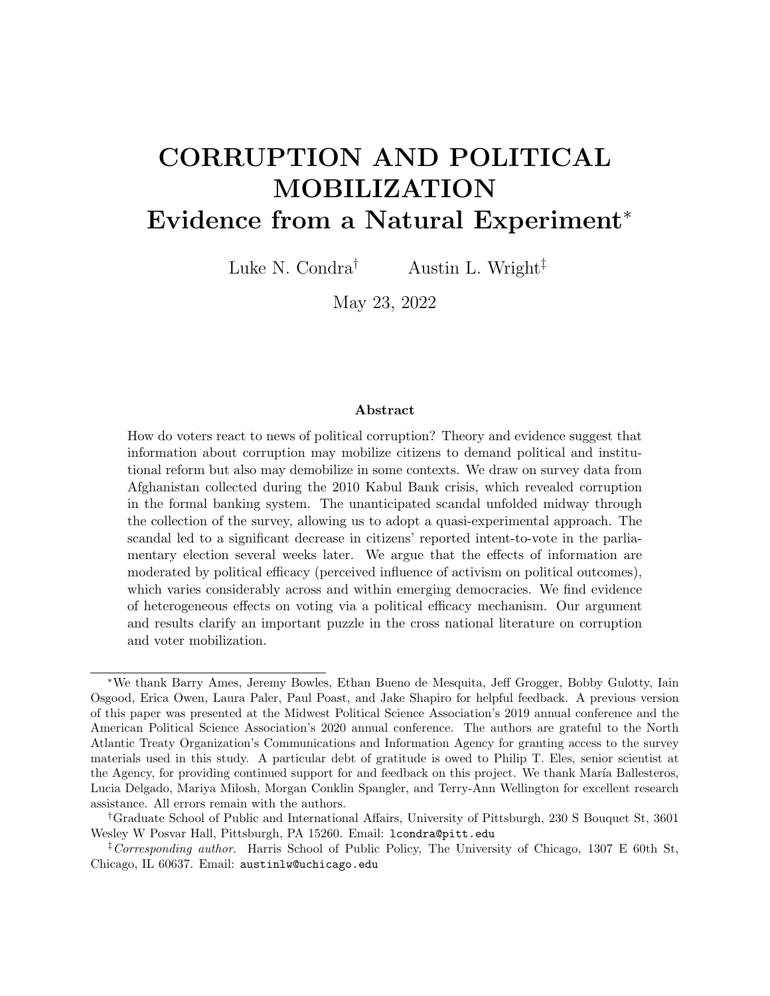We introduce the interaction of high efficacy and post-scandal enumeration in Table 2. We observe a significant reduction in intention-to-vote among individuals living in low efficacy provinces, which is driving the observed average effect in the full sample (Table 1). This is what we would expect based on the logic connecting low levels of personal efficacy to political disengagement. Moreover, while we do not observe a precisely estimated overall mobilization effect of information in high efficacy provinces, the marginal effect of moving to a high efficacy province is positive and statistically significant, which also is consistent with the theoretical logic. The demobilization effect of information about the corruption scandal attenuates as efficacy increases. As in previous specifications (Table 1), in Columns 2-3 we progressively add controls to account for the security situation and elements of survey enumeration. The results are unaffected.

In summary, the evidence we find suggests that political efficacy likely plays an influential role in shaping how voters mobilize in the wake of an unexpected corruption scandal. However, it is important to highlight that we cannot necessarily lend a causal interpretation to the heterogeneous effects we find. Political efficacy is not randomly assigned in this setting or others and could be a function of all sorts of factors that also contribute to citizens' willingness to vote. Although our research design helps us account for any systematic or time-varying differences across provinces with high and low efficacy, there may still be sources of bias that remain. Our main point is that, no matter what explains variation in the ebb and flow of political efficacy across and within countries, we should expect that citizens will react differently to information about corruption because of it. The sub-national results from this case provide support for this argument. While there are important cross-national differences other than political efficacy that undoubtedly contribute to variance in the way in which citizens do or do not react to political corruption, we submit that these results provide reason to further test empirical implications of the theoretical argument in other contexts that vary in the level of citizens' political efficacy.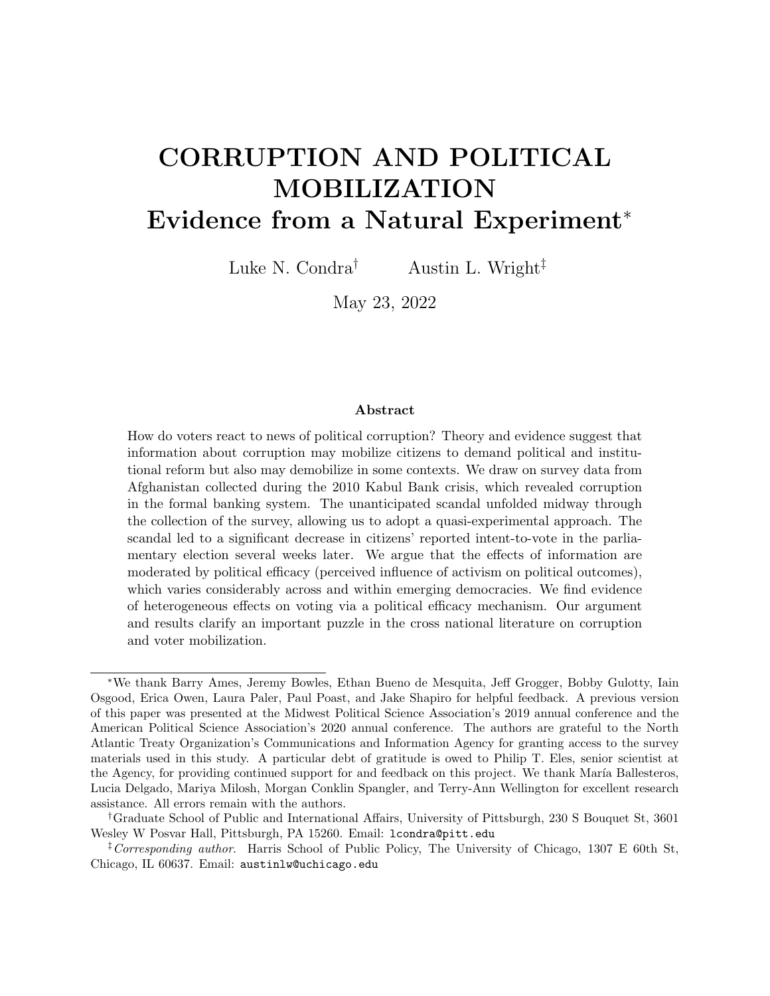|                              | $\left(1\right)$ | $\left( 2\right)$    | $\left( 3\right)$       |
|------------------------------|------------------|----------------------|-------------------------|
|                              | Benchmark        | Benchmark - Security | Benchmark - Survey Bias |
| Post                         | $-0.153***$      | $-0.150***$          | $-0.150***$             |
|                              | (0.0479)         | (0.0450)             | (0.0454)                |
| Post $\times$ High Efficacy  | $0.160***$       | $0.155***$           | $0.163***$              |
|                              | (0.0594)         | (0.0581)             | (0.0571)                |
| <b>SUMMARY STATISTICS</b>    |                  |                      |                         |
| Outcome Mean                 | 0.699            | 0.699                | 0.699                   |
| Outcome SD                   | 0.459            | 0.459                | 0.459                   |
| PARAMETERS                   |                  |                      |                         |
| District FE                  | Yes              | Yes                  | Yes                     |
| Demographic Controls         | Yes              | $_{\rm Yes}$         | $\operatorname{Yes}$    |
| <b>ADDITIONAL PARAMETERS</b> |                  |                      |                         |
| Security                     | No               | Yes                  | $\operatorname{Yes}$    |
| Govt. Control                | No               | Yes                  | Yes                     |
| Govt. Patrols                | N <sub>o</sub>   | Yes                  | Yes                     |
| Survey Bias Controls         | N <sub>0</sub>   | N <sub>o</sub>       | Yes                     |
| <b>MODEL STATISTICS</b>      |                  |                      |                         |
| N                            | 9803             | 9803                 | 9802                    |
| Clusters                     | 240              | 240                  | 240                     |

Table 2: Estimates of Financial Scandal on Intent-to-Vote: Accounting for Heterogeneity by Political Efficacy

Notes: Outcome in Table 2 is: "Do you plan to vote in the upcoming election?" Unit of analysis is individual survey respondent. All models include administrative district fixed effects (using ESOC boundaries), as well as baseline demographic controls (age, age squared, education, gender, ethnicity). Standard errors clustered at the district level and are presented in parentheses, stars indicate \*\*\*  $p < 0.01$ , \*\*  $p < 0.05$ , \*  $p < 0.1$ .

### Information Mechanism Test

In their seminal paper testing the informational theory of voter behavior, Ferraz and Finan show that the release of audit information to the public about local government corruption significantly reduced incumbents' chance of reelection.<sup>64</sup> Further in line with the informational theory of voter behavior, this effect was particularly pronounced in places where local radio was present, which facilitated the dissemination of information to the public.

Following this intuition, to increase confidence in our argument, we provide a simple placebo population test of the purported mechanism that information is most likely to be

<sup>64</sup>Ferraz and Finan 2008.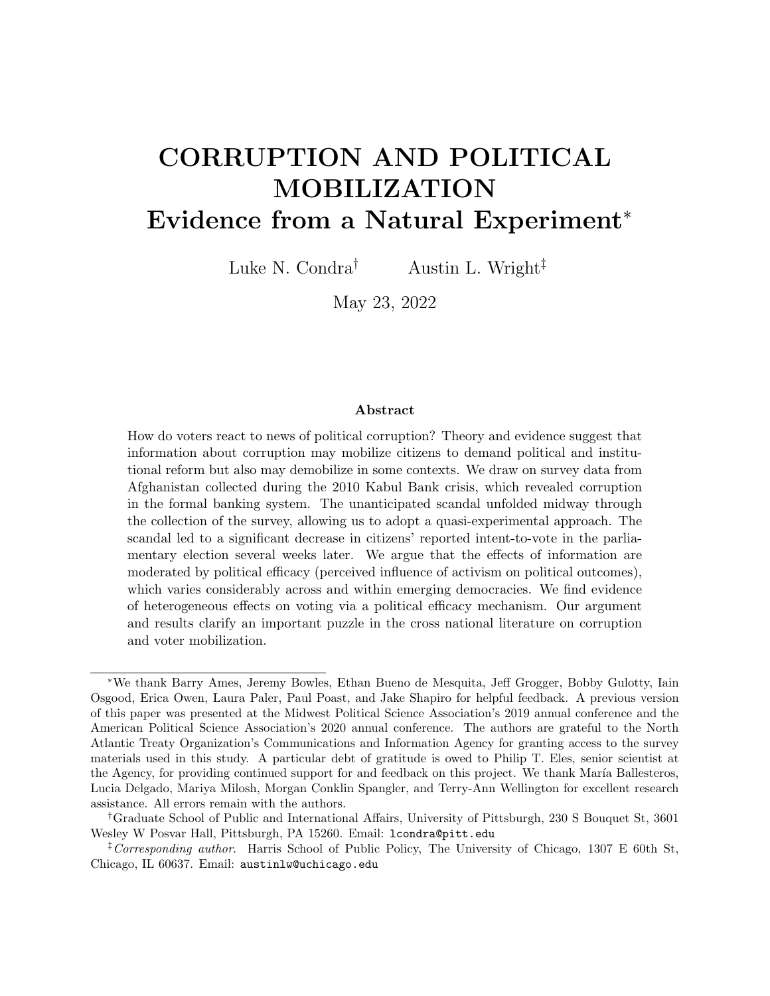transmitted through media sources.<sup>65</sup> Splitting the sample into individuals with and without media access, we re-estimate specifications in Table 2 that include the full set of control variables, and report them in Table 3.<sup>66</sup> Notice that Column 3, relying solely on subjects with media access, yields the statistically precise base term from our main analysis, while the effect sizes and precision in Column 2, where subjects do not have media access, are inconsistent. Overall, this simple test reveals evidence consistent with the mechanism articulated in Ferraz and Finan and gives us more confidence in the plausibility of the information channel in this  $case.<sup>67</sup>$ 

### Supplemental Results

In Supporting Information, we provide a series of supplemental results to address potential concerns about the main findings. First, we show that results in Table 2 are robust to a range of pre/post cutoff windows. Figure SI-2 shows the robustness of the estimated effects on intent-to-vote, across a range of pre/post cutoff windows. In the left panel, we plot the baseline difference-in-difference (when political efficacy is low). In the right panel, we plot the marginal effects (as noted in the main tables). Each subsequent estimate eliminates one day before and after the scandal event, starting at six days pre/post and ending with two days pre/post. Even narrowing the cutoff to two days before and after the scandal broke, results are largely unaffected.

Second, the results are insensitive to alternative cutoffs for classifying province-level political efficacy. In Figure SI-3, we demonstrate the main heterogeneous effects in Table 2 are also largely insensitive to alternative cutoffs for classifying respondents' level of political efficacy by province.

<sup>&</sup>lt;sup>65</sup> Eggers, Tuñón and Dafoe 2021.

<sup>66</sup>Respondents are coded as having media access if they report television or radio as their most frequent source of news and information, and having no media access otherwise.

<sup>67</sup>Ferraz and Finan 2008.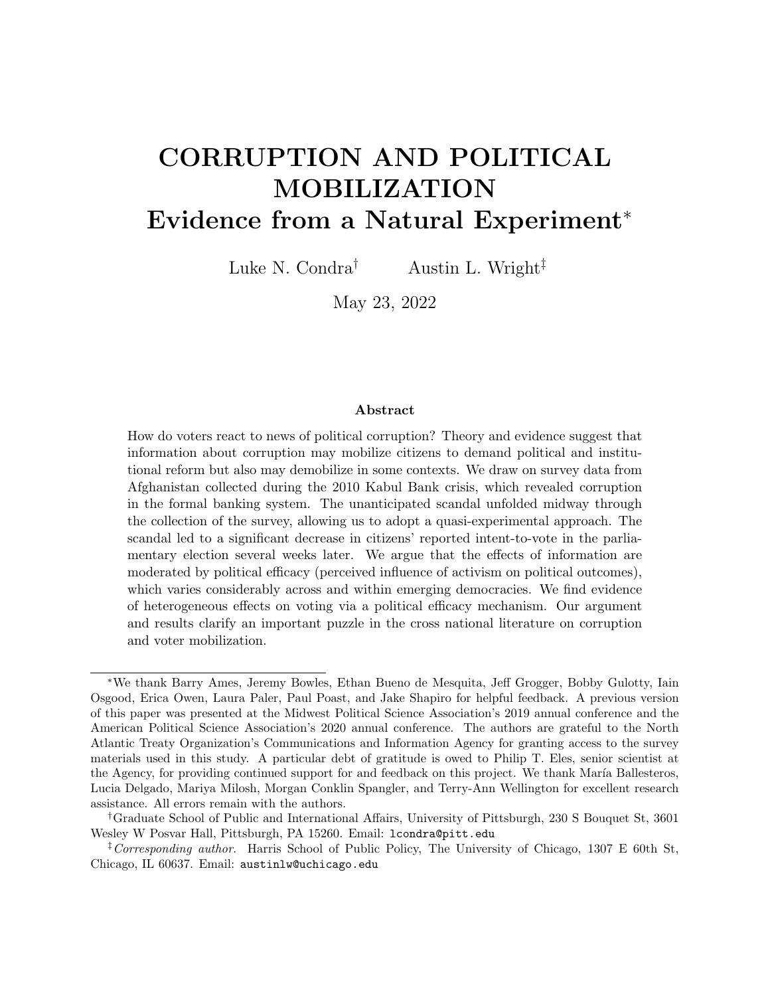|                             | $\left(1\right)$ | $\left( 2\right)$ | $\left(3\right)$  |
|-----------------------------|------------------|-------------------|-------------------|
|                             | Full Sample      | No Media Access   | With Media Access |
| Post                        | $-0.150***$      | $-0.0899*$        | $-0.171$ ***      |
|                             | (0.0454)         | (0.0477)          | (0.0447)          |
| Post $\times$ High Efficacy | $0.163***$       | 0.0919            | $0.183***$        |
|                             | (0.0571)         | (0.0618)          | (0.0593)          |
| <b>SUMMARY STATISTICS</b>   |                  |                   |                   |
| Outcome Mean                | 0.699            | 0.668             | 0.719             |
| Outcome SD                  | 0.459            | 0.471             | 0.450             |
| <b>PARAMETERS</b>           |                  |                   |                   |
| District FE                 | Yes              | Yes               | Yes               |
| Demographic Controls        | Yes              | $_{\rm Yes}$      | Yes               |
| ADDITIONAL PARAMETERS       |                  |                   |                   |
| Security                    | Yes              | Yes               | Yes               |
| Govt. Control               | Yes              | Yes               | Yes               |
| Govt. Patrols               | Yes              | Yes               | Yes               |
| Survey Bias Controls        | Yes              | $_{\rm Yes}$      | Yes               |
| <b>MODEL STATISTICS</b>     |                  |                   |                   |
| N                           | 9802             | 3538              | 5871              |
| Clusters                    | 240              | 221               | 233               |

Table 3: Estimates of Financial Scandal on Intent-to-Vote: Accounting for Heterogeneity by Political Efficacy and Media (information) Access

Notes: Outcome in Table 3 is: "Do you plan to vote in the upcoming election?" Unit of analysis is individual survey respondent. All models include administrative district fixed effects (using ESOC boundaries), as well as baseline demographic controls (age, age squared, education, gender, ethnicity). Standard errors clustered at the district level and are presented in parentheses, stars indicate \*\*\*  $p < 0.01$ , \*\*  $p < 0.05$ , \*  $p < 0.1$ .

Third, dropping the district fixed effects from our models or excluding districts without within-unit variation in timing of enumeration (i.e., pre/post) does not affect results. Given that only a subset of districts is enumerated both before and after news of the scandal broke, it could be the case that readers are cautious about the use of district fixed effects (which reduce the variation available for the difference-in-difference estimator). It might also be the case that our main specification is biased by disproportionate weights being assigned to districts with no within-case variation (that is, districts with complete enumeration either before or after the scandal). To address these two concerns, we can replicate the benchmark specifications from Table 2 under two separate conditions: dropping the fixed effects entirely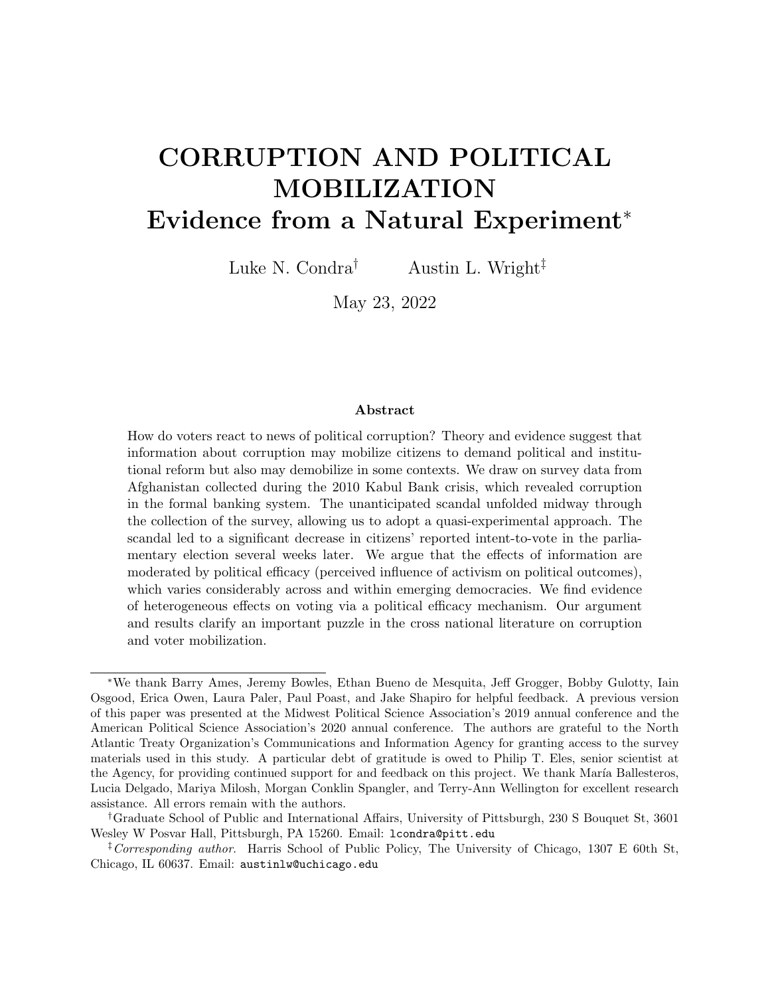and excluding any districts that do not have within-units variation (while retaining the fixed effects). These results are presented in Table SI-1. Because the estimator in both cases has changed, we would expect the coefficient magnitudes to vary but the direction of the main effects to be consistent. This is precisely what we find.

Finally, we show the comparability of demographic characteristics across the ANQAR and Asia Foundation survey samples. In Figure SI-5 we present evidence comparing the sample we study in ANQAR and demographic data from the Asia Foundation's 13 years of fieldwork. Although there is a high level of consistency across ethnic groups and age cohorts, we observe some under-representation of female respondents in several provinces in ANQAR. The balance tests presented earlier indicate this undersampling of female subjects was consistent across pre- and post-scandal groups. Undersampling therefore does not cause bias in our estimate but it could suggest that our point estimate is not representative of the population parameter estimate that could be recovered if we had more complete inclusion of female subjects. Although we cannot retroactively survey female subjects, we can examine whether the estimated effect varies if we exclude provinces where females are underrepresented in our sample. If the effect does not vary substantially, it suggests our main estimate is likely consistent with what would be recovered if we could retroactively survey more female subjects. These results are presented in Table SI-2. Notice that the main effects are highly consistent with Table 2, indicating that the uneven gender balance likely should not change our interpretation of the estimated effects.

# **CONCLUSION**

How do voters react to news of large-scale political corruption? Competing theoretical logics and mixed empirical evidence motivate our study of Afghan citizens' reactions to the real and economically damaging Kabul Bank financial scandal of 2010. We leverage the fact that the scandal broke while a survey was being enumerated across Afghanistan, which provides the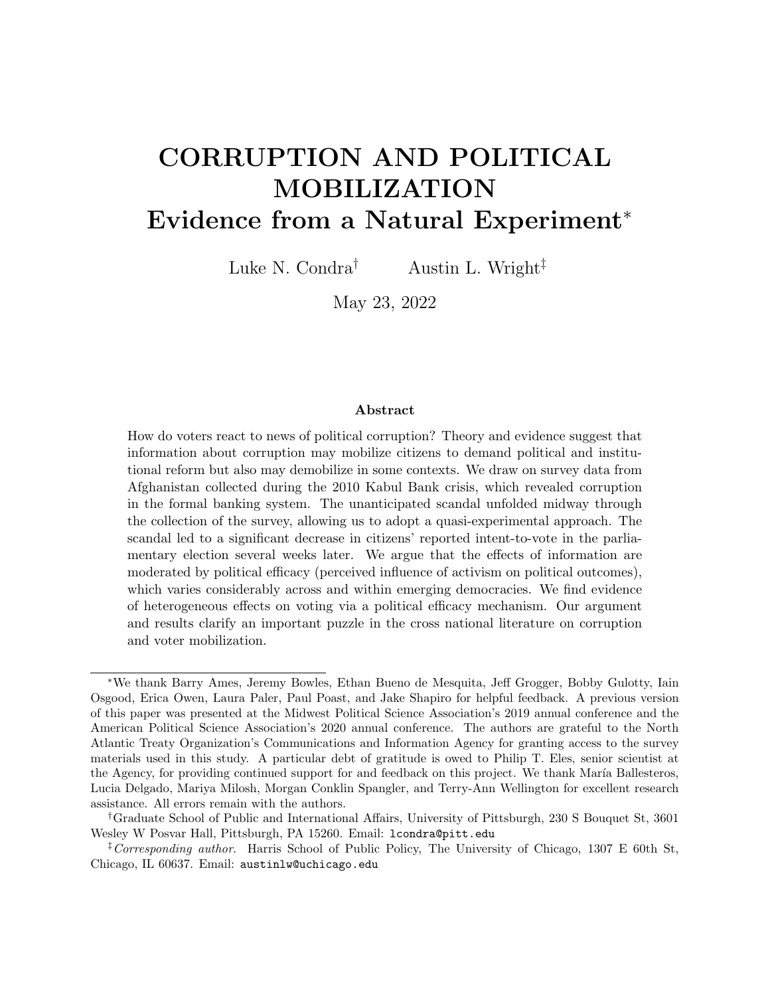opportunity to identify the causal effects that news of the scandal had on intent-to-vote in the parliamentary election scheduled several weeks later. Overall, we observe a statistically significant and negative effect of the scandal on citizens' intent-to-vote, which is consistent with other work that documents information's demobilizing effects in some contexts. Various features of our quasi-experimental research design lend strength to the causal nature of our claims.

To explain variation in reactions in this case and potentially others, we draw on a theoretical literature that emphasizes how political efficacy might moderate the effect of corruptionrelated information on citizens' political mobilization. Scholars have argued that investigation into the conditions under which information about corruption affects political behavior represents the next generation of research on accountability.<sup>68</sup> The policy implications of an informational theory of accountability and sanctioning have motivated anti-corruption efforts by governments and international organizations worldwide, including recently in Nigeria, the Dominican Republic, and Afghanistan.

But scholars argue that the same programs that might "work" to discourage political corruption in some countries via an electoral sanctioning mechanism may have a much more muted effect in other countries.<sup>69</sup> Our argument emphasizing variation in political efficacy (both within and across countries) provides one reason why this might be the case. In the context studied here, we find evidence consistent with the argument that pre-existing political efficacy moderates information's effects: information had a demobilizing effect in low efficacy provinces but this effect was attenuated in high efficacy provinces. Thus, the analysis suggests that where efficacy is low, information about corruption actually harms accountability by reducing likely turnout.

These findings highlight a problem common in developing contexts: the extent and in-

<sup>68</sup>Pande 2011.

<sup>69</sup>Olken and Pande 2012.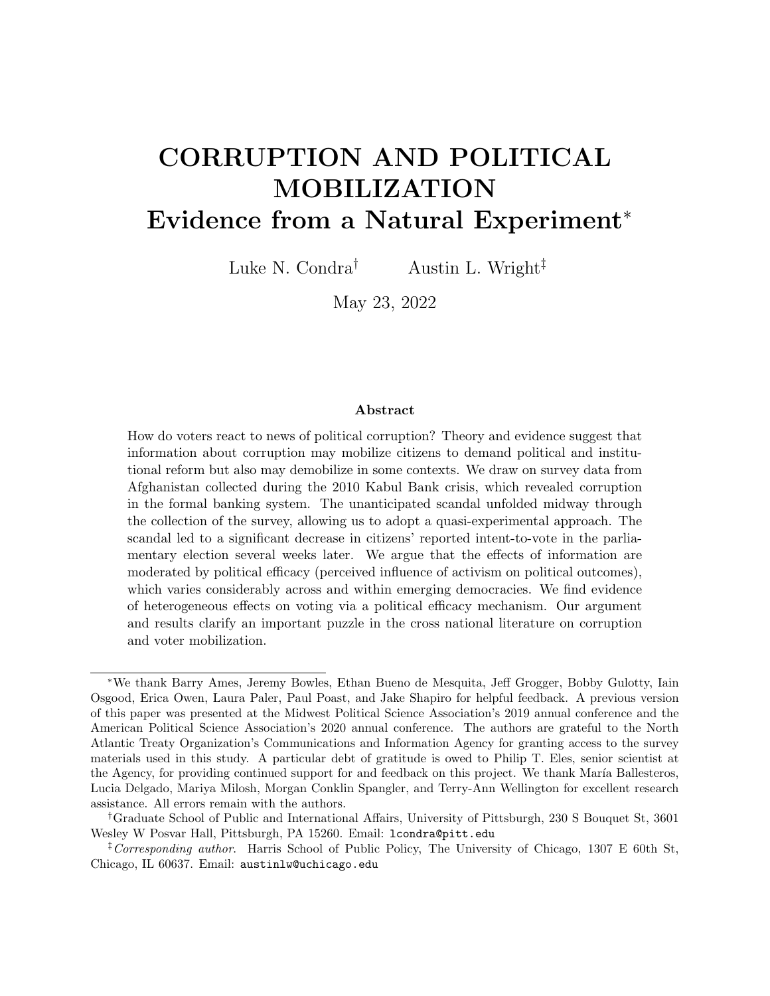tensity of corruption may normalize misconduct by political actors<sup>70</sup> and even citizens themselves.<sup>71</sup> Even a large-scale financial scandal may be insufficient to trigger unconditional political mobilization and reform if it reflects "government as usual." Corruption remains a prominent impediment to economic development and political consolidation. Understanding how the revelation of political corruption affects public opinion and voter preferences is critical to identifying policy interventions that can meaningfully deter or constrain corrupt political actors.

<sup>70</sup>Pande 2008; Fisman and Miguel 2007.

 $^{71}\rm{Corbacho}$  et al. 2016.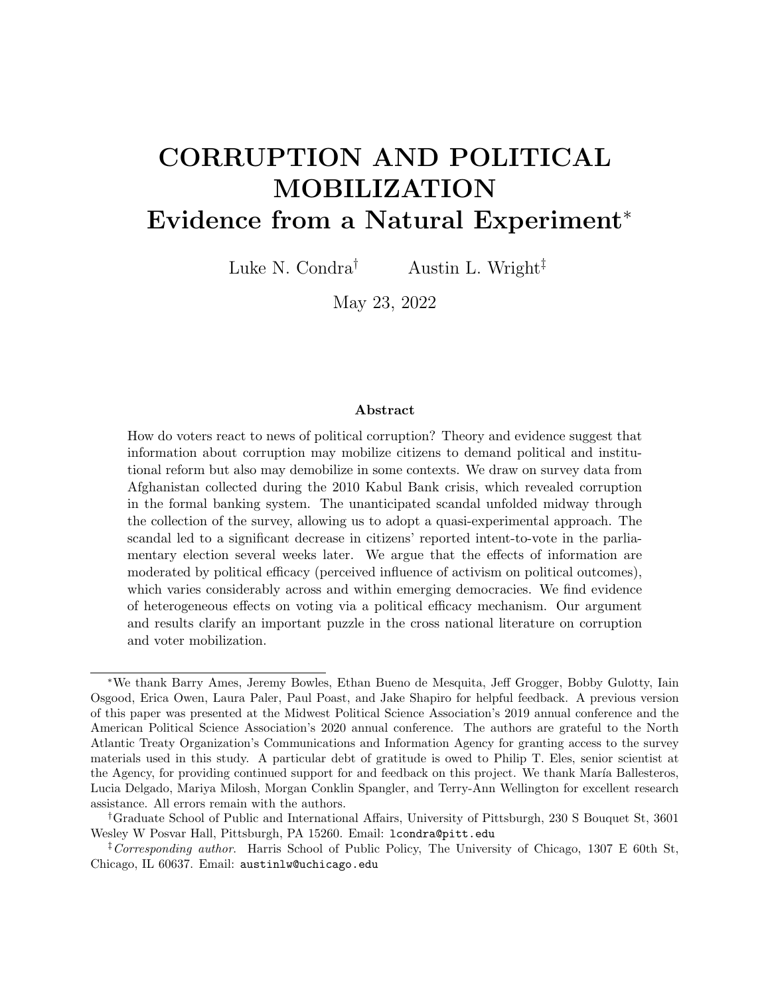# References

- Achen, Christopher H. and Andre Blais. 2016. Intention to vote, reported vote and validated vote. In The Act of Voting: Identities, Institutions and Locale, ed. Johan A. Elkink and David M. Farrell. New York: Routledge pp. 195–209.
- Adida, Claire L., Jessica Gottlieb, Eric Kramon and Gwyneth McClendon. 2019. Under What Conditions Does Performance Information Influence Voting Behavior? Lessons from Benin. In Information, Accountability, and Cumulative Learning: Lessons from Metaketa I, ed. Thad Dunning and et al. New York: Cambridge University Press pp. 81–117.
- Ahlin, Christian and Jiaren Pang. 2008. "Are financial development and corruption control substitutes in promoting growth?" Journal of Development Economics  $86(2):414 - 433$ .
- Akseer, Tabasum, Khadija Hayat, Emily Catherine Keats, Sayed Rohullah Kazimi, Charlotte Maxwell-Jones, Mohammed Sharih Shiwan, David Swift, Mustafa Yadgari and Fahim Ahmad Yousufzai. 2019. A Survey of the Afghan People: Afghanistan in 2019. San Francisco: The Asia Foundation.
- Avenburg, Alejandro. 2016. Corruption and Electoral Accountability in Brazil PhD thesis Boston University.
- Balcells, Laia and Gerard Torrats-Espinosa. 2018. "Using a Natural Experiment to Estimate the Electoral Consequences of Terrorist Attacks." PNAS 115:10624–10629.
- Banerjee, Abhijit V., Selvan Kumar, Rohini Pande and Felix Su. 2011. "Do Informed Voters Make Better Choices? Experimental Evidence from Urban India." Working paper.
- Besley, Timothy. 2006. Principled Agents? The Political Economy of Good Government. New York: Oxford University Press.
- Blair, Graeme, Kosuke Imai and Jason Lyall. 2014. "Comparing and Combining List and Endorsement Experiments: Evidence from Afghanistan." American Journal of Political Science 58(4):1043–1063.
- Boas, Taylor C., F. Daniel Hidalgo and Marcus André Melo. 2019a. Horizontal but Not Vertical: Accountability Institutions and Electoral Sanctioning in Northeast Brazil. In Information, Accountability, and Cumulative Learning: Lessons from Metaketa I, ed. Thad Dunning and et al. New York: Cambridge University Press pp. 257–286.
- Boas, Taylor C., F. Daniel Hidalgo and Marcus André Melo. 2019b. "Norms versus Action: Why Voters Fail to Sanction Malfeasance in Brazil." American Journal of Political Science 63:385–400.
- Botero, Sandra, Rodrigo Castro Cornejo, Laura Gamboa, Nara Pavao and David W. Nickerson. 2015. "Says Who? An Experiment on Allegations of Corruption and Credibility of Sources." Political Research Quarterly 68:493–504.
- Burlacu, Diana. 2020. "Corruption and Ideological Voting." British Journal of Political Science 50(2):435–456.
- Caillier, James. 2010. "Citizen Trust, Political Corruption, and Voting Behavior: Connecting the Dots." Politics and Policy 38(5):1015–35.
- Campbell, Angus, Gerald Gurin and Warren E. Miller. 1954. The Voter Decides. White Plains, NY: Row, Peterson and Company.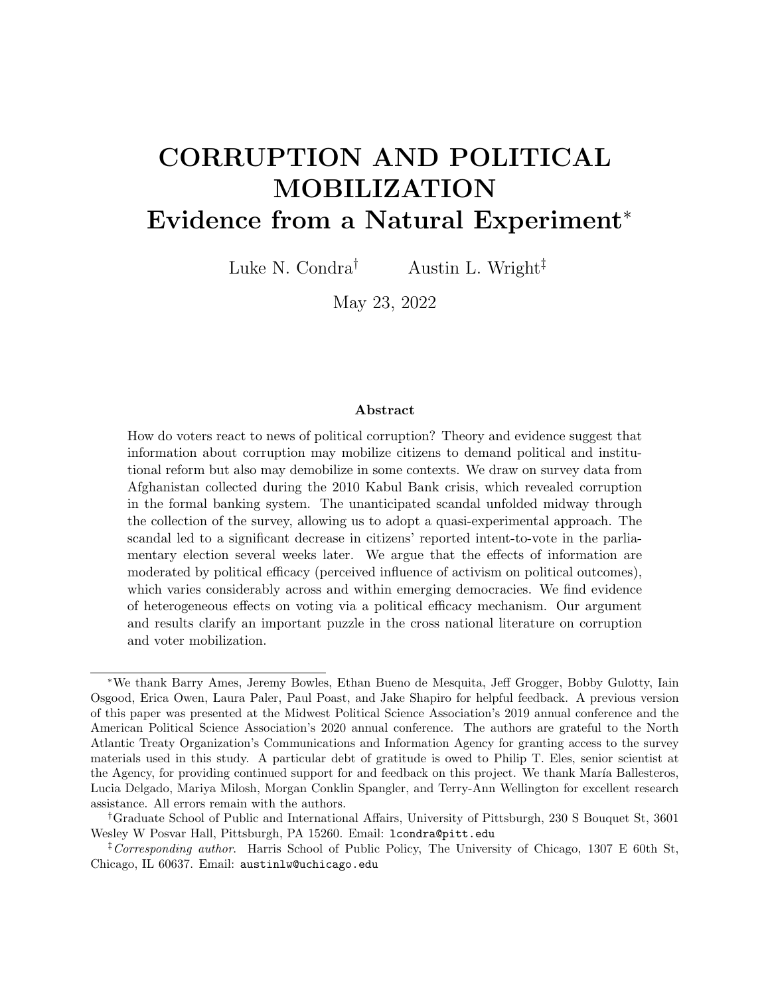- Chang, Eric C. C., Miriam A. Golden and Seth J. Hill. 2010. "Legislative Malfeasance and Political Accountability." World Politics 62(2):177–220.
- Chong, Alberto, Ana L. De La O, Dean Karlan and Leonard Wantchekon. 2015. "Does Corruption Information Inspire the Fight or Quash the Hope? A Field Experiment in Mexico on Voter Turnout, Choice, and Party Identification." The Journal of Politics 77(1):55–71.
- Corbacho, Ana, Daniel W. Gingerich, Virginia Oliveros and Mauricio Ruiz-Vega. 2016. "Corruption as a Self-Fulfilling Prophecy: Evidence from a Survey Experiment in Costa Rica." American Journal of Political Science 60(4):1077–1092.
- Cruz, Cesi, Philip Keefer and Julien Labonne. 2021. "Buying Informed Voters: New Effects of Information on Voters and Candidates." The Economic Journal 131(635):1105–34.
- CSES. 2015. CSES Module 2 Full Release. Dataset The Comparative Study of Electoral Systems.
- De Vries, Catherine E. and Hector Solaz. 2017. "The Electoral Consequences of Corruption." Annual Review of Political Science 20:391–408.
- Dunning, Thad. 2012. Natural Experiments in the Social Sciences: A Design-Based Approach. New York: Cambridge University Press.
- Dunning, Thad and et al. 2019a. "Voter information campaigns and political accountability: Cumulative findings from a preregistered meta-analysis of coordinated trials." Science Advances  $5(7):1-10$ .
- Dunning, Thad and et al., eds. 2019b. Information, Accountability, and Cumulative Learning: Lessons from Metaketa I. New York: Cambridge University Press.
- Eggers, Andrew C., Guadalupe Tuñón and Allan Dafoe. 2021. "Placebo Tests for Causal Inference." Working paper.
- Fearon, James D. 2000. Electoral accountability and the control of politicians: selecting good types versus sanctioning poor performance. In Democracy, Accountability, and Representation, ed. Adam Przeworski, Susan C. Stokes and Bernard Manin. New York: Cambridge University Press pp. 55–97.
- Ferejohn, John. 1986. "Incumbent Performance and Electoral Control." Public Choice 50(1- 3):5–25.
- Ferraz, Claudio and Frederico Finan. 2008. "Exposing Corrupt Politicians: The Effect of Brazil's Publicly Released Audits on Electoral Outcomes." Quarterly Journal of Economics 123(2):703–745.
- Ferraz, Claudio and Frederico Finan. 2011. "Electoral Accountability and Corruption: Evidence from the Audits of Local Governments." American Economic Review 101:1274–1311.
- Ferraz, Claudio, Frederico Finan and Diana B. Moreira. 2012. "Corrupting Learning: Evidence from Missing Federal Education Funds in Brazil." Journal of Public Economics 96:712–726.
- Fisman, Raymond and Edward Miguel. 2007. "Corruption, Norms, and Legal Enforcement: Evidence from Diplomatic Parking Tickets." Journal of Political Economy 115(6):1020– 1048.
- Fisman, Raymond and Jakob Svensson. 2007. "Are corruption and taxation really harmful to growth? Firm level evidence." Journal of Development Economics 83(1):63 – 75.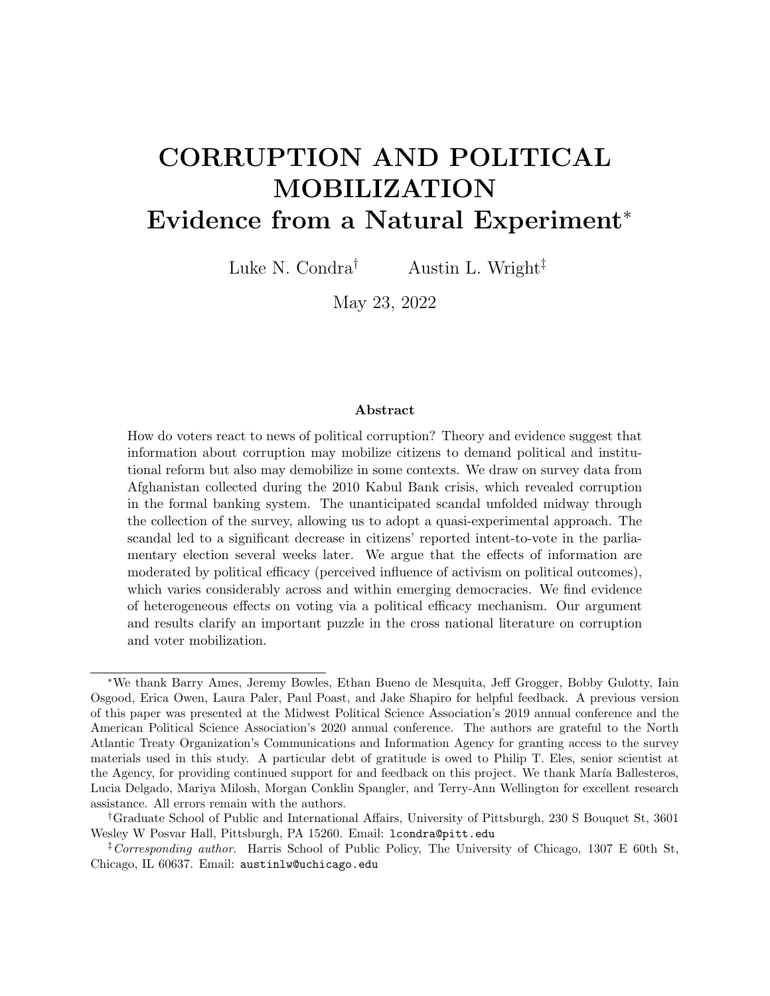- Hetherington, Marc J. 1998. "The Political Relevance of Political Trust." The American Political Science Review 92(4):791–808.
- Higgins, Andrew. 2010. "Kabul Bank Crisis Followed U.S. Push for Cleanup." Washington Post .
- Humphreys, Macartan and Jeremy M. Weinstein. 2012. "Policing Politicians: Citizen Empowerment and Political Accountability in Uganda—Preliminary Analysis." International Growth Centre Working Paper S-5021-UGA-1.
- Incerti, Trevor. 2020. "Corruption Information and Vote Share: A Meta-Analysis and Lessons for Experimental Design." American Political Science Review 114(3):761–74.
- Klasnja, Marko and Joshua A. Tucker. 2013. "The Economy, Corruption, and the Vote: Evidence from Experiments in Sweden and Moldova." Electoral Studies 32(3):536–43.
- Kos, Drago. 2012. Report of the Public Inquiry into the Kabul Bank Crisis. Special Report Independent Joint Anti-Corruption Monitoring and Evaluation Committee.
- Kostadinova, Tatiana. 2009. "Abstain or Rebel: Corruption Perceptions and Voting in East European Elections." Politics & Policy 37(4):691–714.
- Krause, Stefan and Fabio Méndez. 2009. "Corruption and elections: an empirical study for a cross-section of countries." Economics & Politics 21(2):179200.
- Kumlin, Staffan and Peter Esaiasson. 2012. "Scandal Fatigue? Scandal Elections and Satisfaction with Democracy in Western Europe, 1977-2007." British Journal of Political Science 42(2):263–282.
- Lierl, Malte and Marcus Holmlund. 2019. Performance Information and Voting Behavior in Burkina Faso's Municipal Elections: Separating the Effects of Information Content and Information Delivery. In Information, Accountability, and Cumulative Learning: Lessons from Metaketa I, ed. Thad Dunning and et al. New York: Cambridge University Press pp. 221–256.
- Lyall, Jason, Yuki Shiraito and Kosuke Imai. 2015. "Coethnic Bias and Wartime Informing." Journal of Politics 77(3):833–48.
- Malesky, Edmund, Paul Schuler and Anh Tran. 2012. "The Adverse Effects of Sunshine: A Field Experiment on Legislative Transparency in an Authoritarian Assembly." American Political Science Review 106:762–786.
- Mansbridge, Jane. 1998. On the Idea That Participation Makes Better Citizens. In Citizen Competence and Democratic Institutions, ed. Stephen L. Elkin and Karol E. Sotan. University Park, PA: Pennsylvania State University Press pp. 291–326.
- Mauro, Paolo. 1995. "Corruption and Growth." *Quarterly Journal of Economics* 110(3):681– 712.
- McLeod, Grant. 2016. Responding to Corruption and the Kabul Bank Collapse. Special Report 398 United States Institute of Peace.
- Mikulaschek, Christoph, Saurabh Pant and Beza Tesfaye. 2020. "Winning Hearts and Minds in Civil Wars: Leadership Change, Governance, and Support for Violence in Iraq." American Journal of Political Science 64(4):773–790.
- Muñoz, Jordi, Albert Falcó-Gimeno and Enrique Hernández. 2020. "Unexpected Event during Survey Design: Promise and Pitfalls for Causal Inference." Political Analysis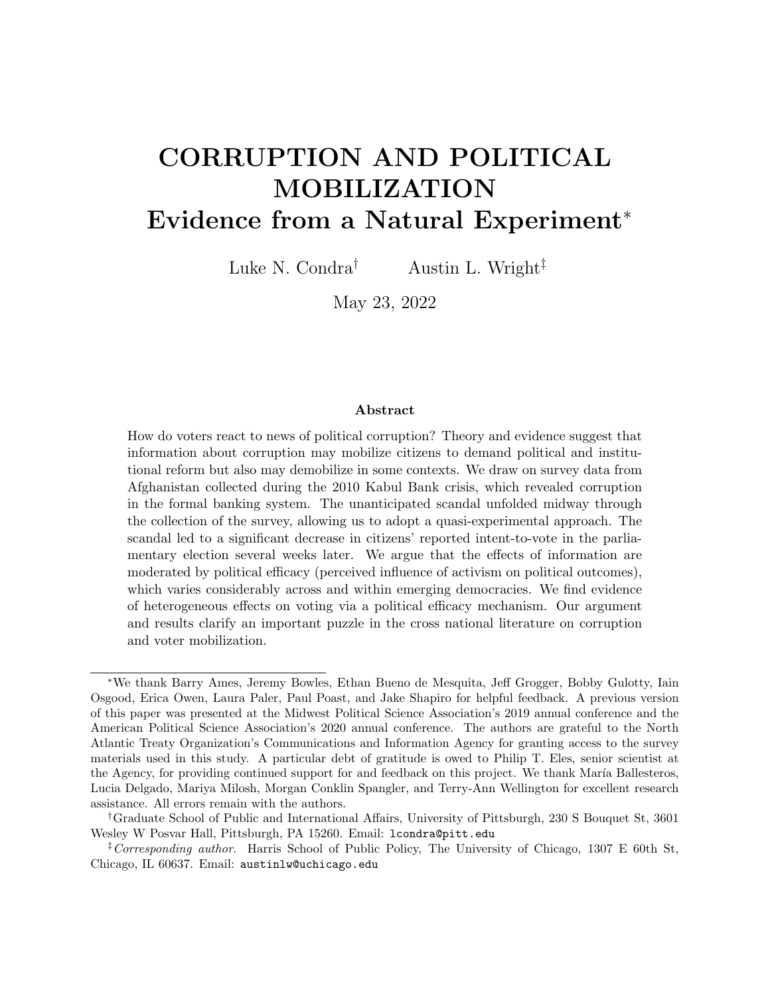28(2):186–206.

Muço, Arieda. 2021. "The politician, the party, and the president: How do political scandals propagate across the party network?" Working paper.

URL: https://tinyurl.com/y59yq95q

- Norris, Pippa. 2004. Electoral Engineering: Voting Rules and Political Behavior. New York: Cambridge University Press.
- Norris, Pippa. 2011. Democratic De cit: Critical Citizens Revisited. New York: Cambridge University Press.
- Olken, Benjamin A. 2007. "Monitoring Corruption: Evidence from a Field Experiment in Indonesia." Journal of Political Economy 115(2):200–249.
- Olken, Benjamin A. 2009. "Corruption perceptions vs. corruption reality." Journal of Public Economics 93(7-8):950–964.
- Olken, Benjamin A. and Rohini Pande. 2012. "Corruption in Developing Countries." Annual Review of Economics 4:479–509.
- Pacek, Alexander C., Grigore Pop-Eleches and Joshua A. Tucker. 2009. "Disenchanted or Discerning: Voter Turnout in Post-Communist Countries." The Journal of Politics 71(2):473–491.
- Pande, Rohini. 2008. Understanding Political Corruption in Low Income Countries. In *Hand*book of Development Economics, ed. T. Paul Schultz and John Strauss. Vol. 4 Amsterdam: North-Holland pp. 3155–3184.
- Pande, Rohini. 2011. "Can Informed Voters Enforce Better Governance? Experiments in Low Income Democracies." Annual Review of Economics 3:215–237.
- Pateman, Carole. 1976. Participation and Democratic Theory. Cambridge, UK: Cambridge University Press.
- Pavão, Nara. 2018. "Corruption as the Only Option: The Limits to Electoral Accountability." The Journal of Politics  $80(3):996-1010$ .
- Pavão, Nara. 2019. Corruption, Courts, and Public Opinion in Brazil. In *Corruption in Latin* America: How Politicians and Corporations Steal from Citizens, ed. Robert I. Rotberg. Cham, Switzerland: Springer International pp. 93–107.
- Platas, Melina R. and Pia Raffler. 2019. Candidate Videos and Vote Choice in Ugandan Parliamentary Elections. In Information, Accountability, and Cumulative Learning: Lessons from Metaketa I, ed. Thad Dunning and et al. New York: Cambridge University Press pp. 156–187.
- Reinikka, Ritva and Jakob Svensson. 2005. "Fighting Corruption to Improve Schooling: Evidence from a Newspaper Campaign in Uganda." Journal of the European Economic Association 3(2-3):259–267.
- Rose-Ackerman, Susan. 1999. Corruption and Government: Causes, Consequences, and Reform. Cambridge, UK: Cambridge University Press.
- Rosenberg, Matthew. 2012. "Audit Says Kabul Bank Began as 'Ponzi Scheme'." New York Times .
- Rundlett, Ashlea P. 2018. The Effects of Revealed Corruption on Voter Attitudes and Participation: Evidence from Brazil. PhD thesis University of Illinois at Urbana-Champaign.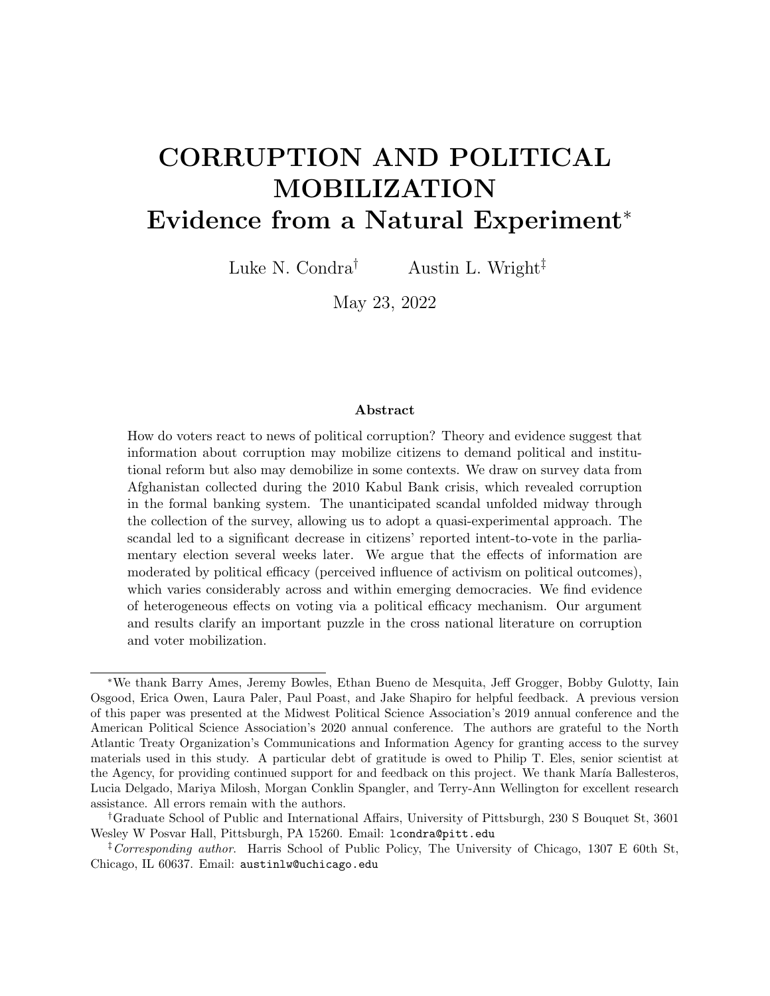- Seligson, Mitchell A. 2002. "The Impact of Corruption on Regime Legitimacy: A Comparative Study of Four Latin American Countries." The Journal of Politics 64(2):408–433.
- Stockemer, Daniel, Bernadette LaMontagne and Lyle Scruggs. 2013. "Bribes and ballots: The impact of corruption on voter turnout in democracies." International Political Science Review 34(1):74–90.
- Strand, Arne. 2014. Elite Capture of Kabul Bank. In Corruption, Grabbing and Development: Real World Challenges, ed. Tina Søreide and Aled Williams. New York: Oxford University Press pp. 175–185.
- Tariq, Mohammad Osman, Najla Ayoubi and Fazel Rabi Haqbeen. 2010. Afghanistan in 2010: A Survey of the Afghan People. Kabul: The Asia Foundation.
- Teorell, Jan, Stefan Dahlberg, Sren Holmberg, Bo Rothstein, Natalia Alvarado Pachon and Richard Svensson. 2018. The Quality of Government Standard Dataset. Dataset version Jan18 The Quality of Government Institute.

The Kabul Bank Scandal and the Crisis that Followed. N.d. Technical report.

- Vera Rojas, Sofía Beatriz. 2017. "The Heterogeneous Effects of Corruption: Experimental Evidence from Peru." Working paper.
- Vicente, Pedro C. and Leonard Wantchekon. 2009. "Clientelism and Vote Buying: Lessons from Field Experiments in African Elections." Oxford Review of Economic Policy 25:292– 305.
- Wantchekon, Leonard. 2003. "Clientelism and Voting Behavior: Evidence from a Field Experiment in Benin." World Politics 55:399–422.
- Weitz-Shapiro, Rebecca and Matthew S. Winters. 2016. "Can Citizens Discern? Information Credibility, Political Sophistication, and the Punishment of Corruption in Brazil." The Journal of Politics 79(1):60–74.
- Winters, Matthew S. and Rebecca Weitz-Shapiro. 2013. "Lacking Information or Condoning Corruption: When Do Voters Support Corrupt Politicians?" Comparative Politics 45(4):418–436.
- Winters, Matthew S. and Rebecca Weitz-Shapiro. 2017. "Who's in Charge Here? Direct and Indirect Accusations and Voter Punishment of Corruption." Political Research Quarterly  $69(2):207-19.$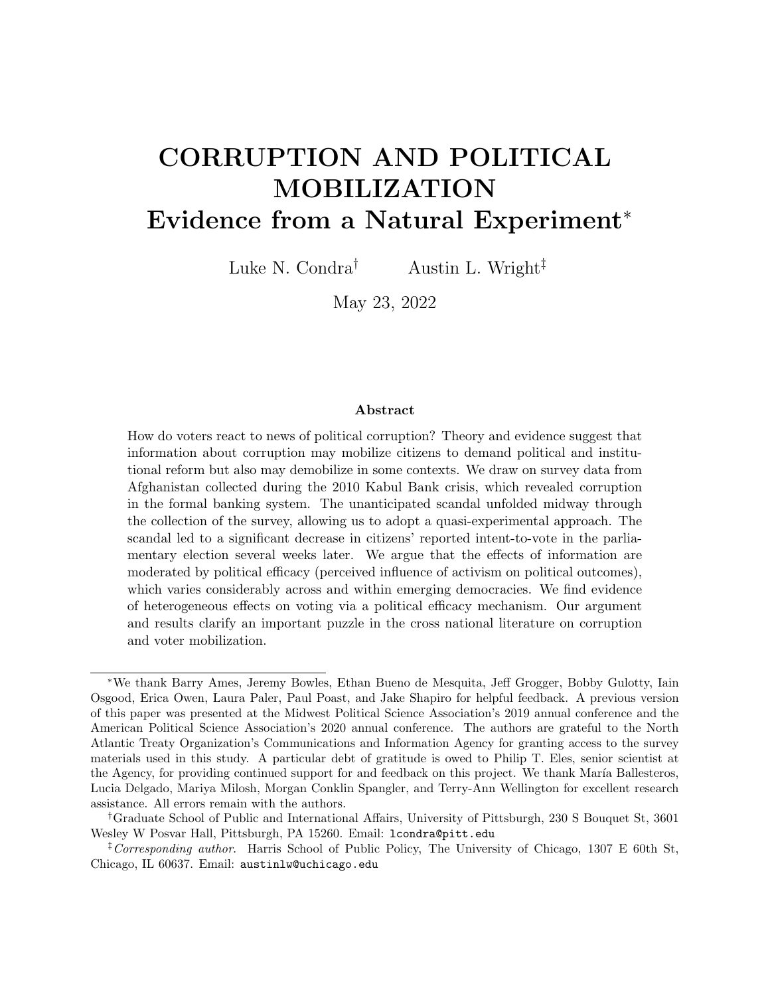### SUPPORTING INFORMATION — For Online Publication Only —

### Supplemental Figures

| SI-1 Regression-Based Balance Tests across Pre/Post (High Efficacy only) $\ldots$ SI-2  |  |
|-----------------------------------------------------------------------------------------|--|
| SI-2 Sensitivity of Heterogeneous Effects to Alternative Pre/Post Windows $\ldots$ SI-3 |  |
| SI-3 Sensitivity of Heterogeneous Effects to Alternative Cutoffs for Political Effi-    |  |
|                                                                                         |  |
| SI-4 ANQAR diagnostics during later waves (16-38) conducted by firm collecting          |  |
|                                                                                         |  |
| SI-5 Comparison of ANQAR Wave 9 and Asia Foundation Demographic Data SI-8               |  |

# Supplemental Tables

| SI-1 Estimates of Financial Scandal Exposure on Intent-to-Vote (no district fixed) |  |
|------------------------------------------------------------------------------------|--|
|                                                                                    |  |
| SI-2 Estimates of Financial Scandal on Intent-to-Vote: Accounting for Heterogene-  |  |
| ity by Political Efficacy and Undersampling of Female Subjects SI-6                |  |
|                                                                                    |  |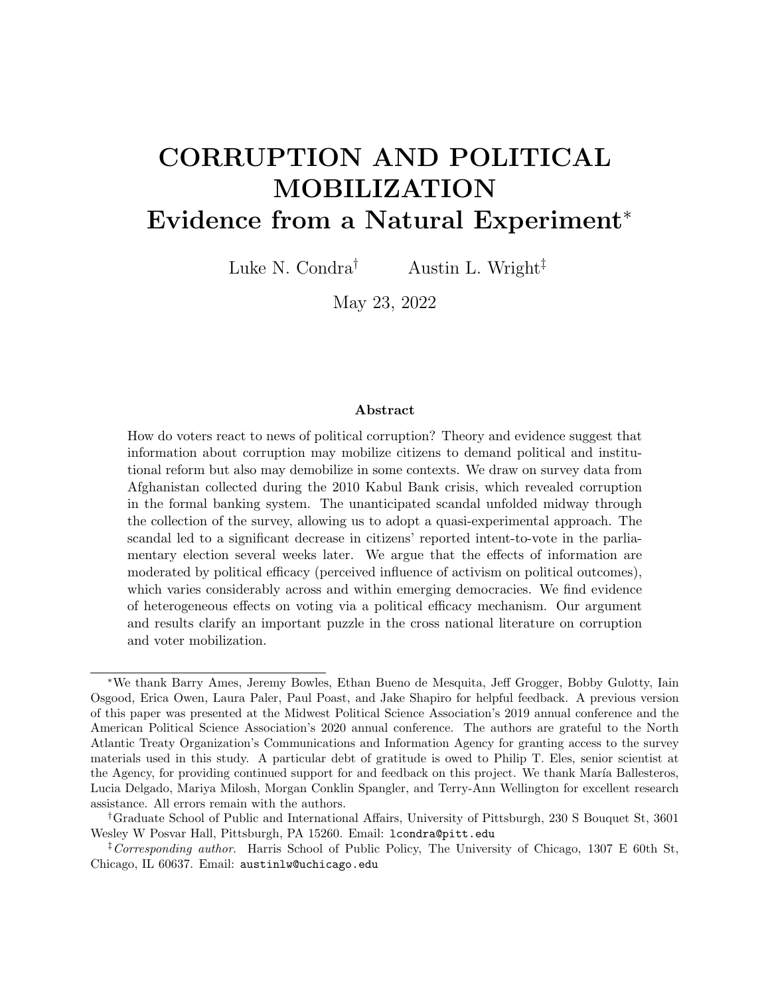# A Supplemental Results

In this appendix section, we report on several additional sensitivity tests of the main results, as well as supplemental results described in the main text. As in Figure 5, in Figure SI-1 we check for imbalances on observables across the pre/post periods, but only for those coded as living in high efficacy provinces. There is some imbalance in the sample, specifically for Hazaras and Uzbeks. We note that ethnicity is a control variable in all regressions.



Figure SI-1: Regression-Based Balance Tests across Pre/Post (High Efficacy only)

Notes: Coefficient plots from regression where outcome of interest is an indicator variable for post (equals 1 if a respondent is sampled in Day 6 or later), 95% confidence intervals shown. Ethnicity is split into four dummy variables for ethnic groups with at least 500 individuals sampled. Following the main regressions, district fixed effects are included and standard errors are clustered by administrative district. Sample includes only individuals in high efficacy provinces.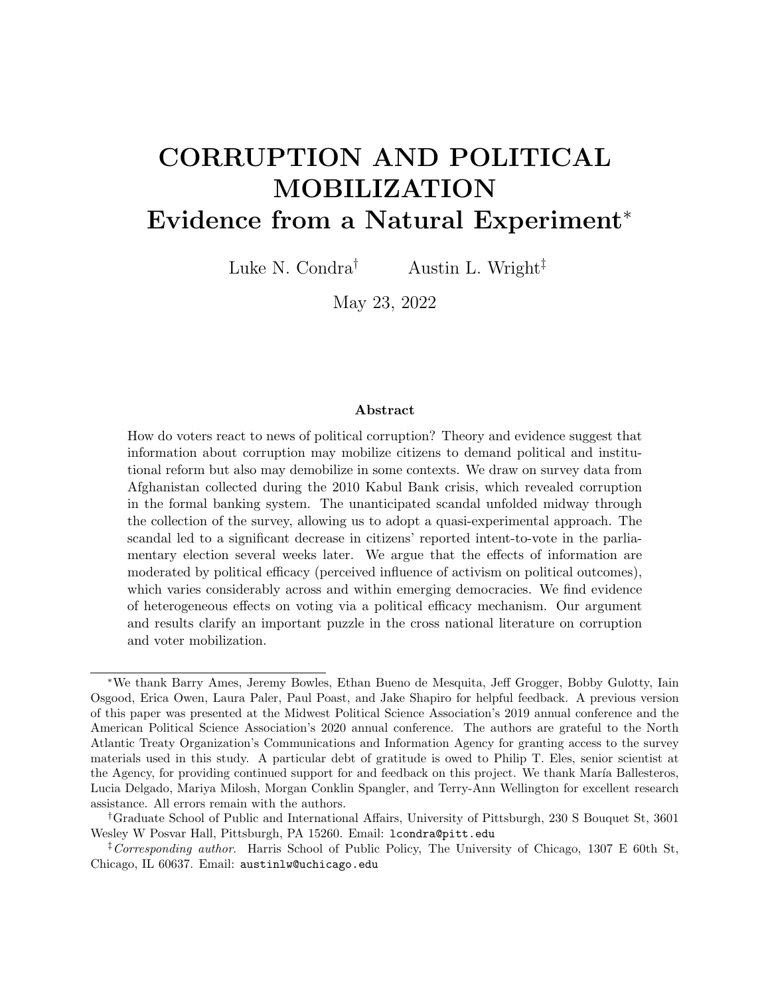



Notes: Figure displays regression coefficients from benchmark models in Table 2 Column 3. Each point estimate in tandem represents the estimated heterogeneous effects if the pre/post cutoff is decreased by 1 day, starting at 6 and ending at 2 days. Each set of reported coefficients replicates the benchmark specification in the main analysis with varying sample cutoffs. All other model parameters and specifications (standard errors, weights) remain consistent with benchmark specification.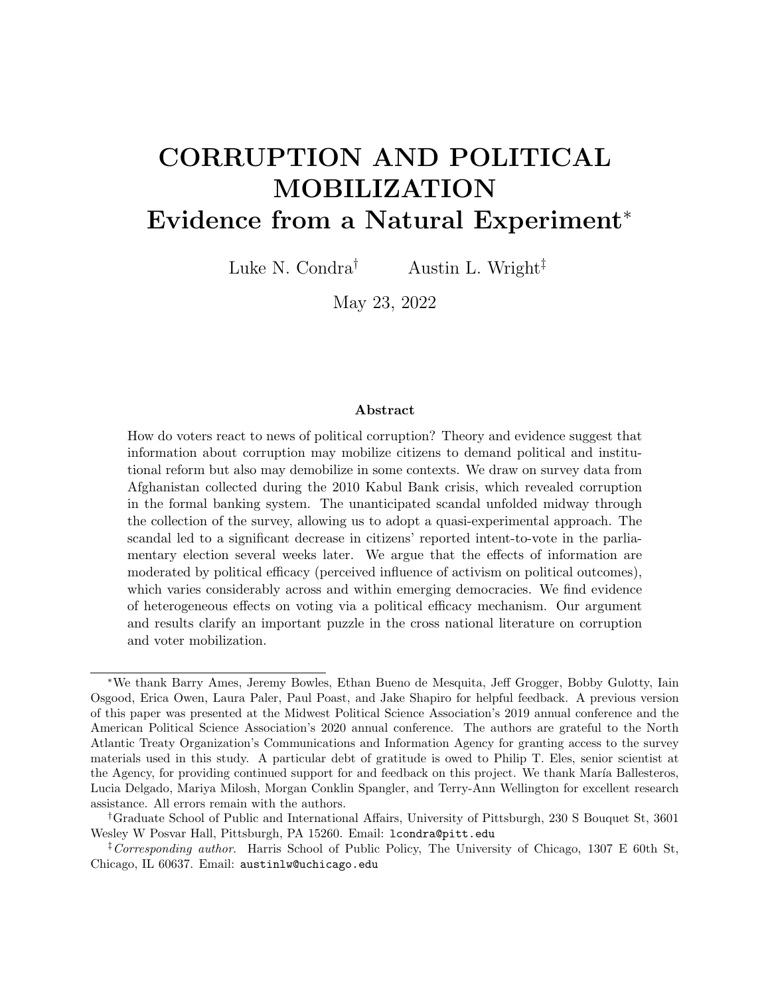Figure SI-3: Sensitivity of Heterogeneous Effects to Alternative Cutoffs for Political Efficacy Classification



Notes: Figure displays regression coefficients from benchmark models in Table 2 Column 3. Each point estimate in tandem represents the estimated heterogeneous effects if the threshold of efficacy is increased by the amount necessary to move the next province from "high efficacy" to "low efficacy" categorization. Each set of reported coefficients replicates the benchmark specification in the main analysis with varying province-wise definitions of efficacy. All other model parameters and specifications (standard errors, weights) remain consistent with benchmark specification.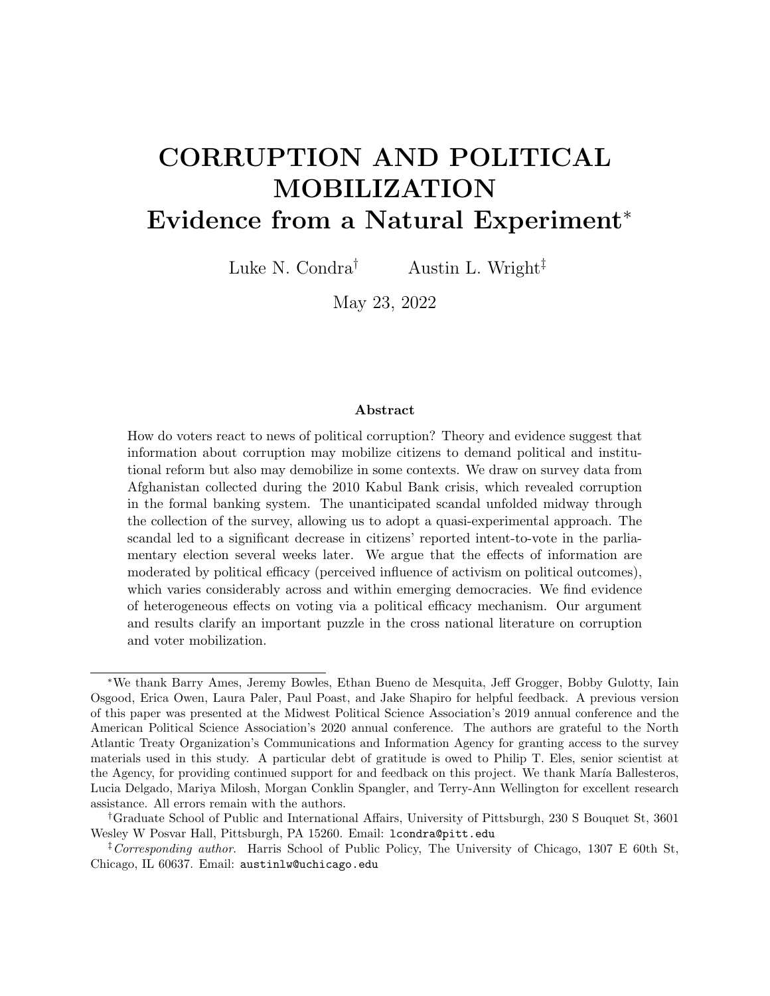| Benchmark - Survey Bias |  |  |
|-------------------------|--|--|
|                         |  |  |
|                         |  |  |
|                         |  |  |
|                         |  |  |
|                         |  |  |
| $0.165***$              |  |  |
|                         |  |  |
|                         |  |  |
|                         |  |  |
|                         |  |  |
|                         |  |  |
|                         |  |  |
|                         |  |  |
|                         |  |  |
|                         |  |  |
|                         |  |  |
|                         |  |  |
|                         |  |  |
|                         |  |  |
|                         |  |  |
|                         |  |  |
|                         |  |  |

Table SI-1: Estimates of Financial Scandal Exposure on Intent-to-Vote (no district fixed effects & only districts with within variation)

Notes: Table replicates model in Table 2 Column 3. Outcome in Table SI-1 is "Do you plan to vote in the upcoming election?" Model in Column 1 does not include district fixed effects and model in Column 2 includes only districts with within variation. Unit of analysis is individual survey respondent. Models include baseline demographic controls (age, age squared, education, gender, ethnicity) as well as additional parameters indicated. Standard errors clustered at the district level and are presented in parentheses, stars indicate \*\*\*  $p < 0.01$ , \*\*  $p < 0.05$ , \*  $p < 0.1$ .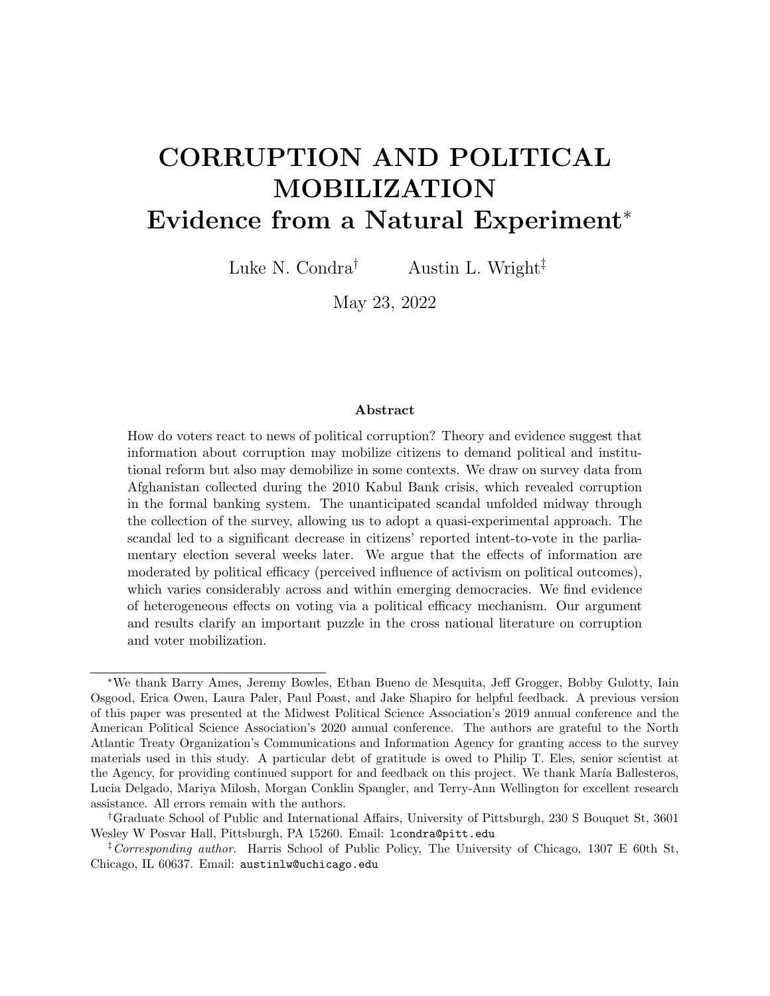|                               | $\left( 1\right)$ | $\left 2\right\rangle$ | $\left( 3\right)$       |
|-------------------------------|-------------------|------------------------|-------------------------|
|                               | Benchmark         | Benchmark - Security   | Benchmark - Survey Bias |
| Post                          | $-0.155***$       | $-0.152***$            | $-0.153***$             |
|                               | (0.0467)          | (0.0448)               | (0.0451)                |
| $Post \times High Efficiency$ | $0.166***$        | $0.159***$             | $0.167***$              |
|                               | (0.0595)          | (0.0591)               | (0.0581)                |
| <b>SUMMARY STATISTICS</b>     |                   |                        |                         |
| Outcome Mean                  | 0.716             | 0.716                  | 0.716                   |
| Outcome SD                    | 0.451             | 0.451                  | 0.451                   |
| <b>PARAMETERS</b>             |                   |                        |                         |
| District FE                   | Yes               | Yes                    | Yes                     |
| Demographic Controls          | Yes               | Yes                    | Yes                     |
| <b>ADDITIONAL PARAMETERS</b>  |                   |                        |                         |
| Security                      | No                | Yes                    | Yes                     |
| Govt. Control                 | No                | Yes                    | Yes                     |
| Govt. Patrols                 | N <sub>0</sub>    | Yes                    | Yes                     |
| Survey Bias Controls          | N <sub>0</sub>    | N <sub>o</sub>         | Yes                     |
| <b>MODEL STATISTICS</b>       |                   |                        |                         |
| N                             | 8542              | 8542                   | 8541                    |
| Clusters                      | 198               | 198                    | 198                     |

Table SI-2: Estimates of Financial Scandal on Intent-to-Vote: Accounting for Heterogeneity by Political Efficacy and Undersampling of Female Subjects

Notes: Table replicates models in Table 2. Outcome in Table SI-2 is: "Do you plan to vote in the upcoming election?" Unit of analysis is individual survey respondent. Provinces with undersampling of female subjects (relative to Asia Foundation data) are excluded from the sample. All models include administrative district fixed effects (using ESOC boundaries), as well as baseline demographic controls (age, age squared, education, gender, ethnicity). Standard errors clustered at the district level and are presented in parentheses, stars indicate \*\*\*  $p < 0.01$ , \*\*  $p < 0.05$ , \*  $p < 0.1$ .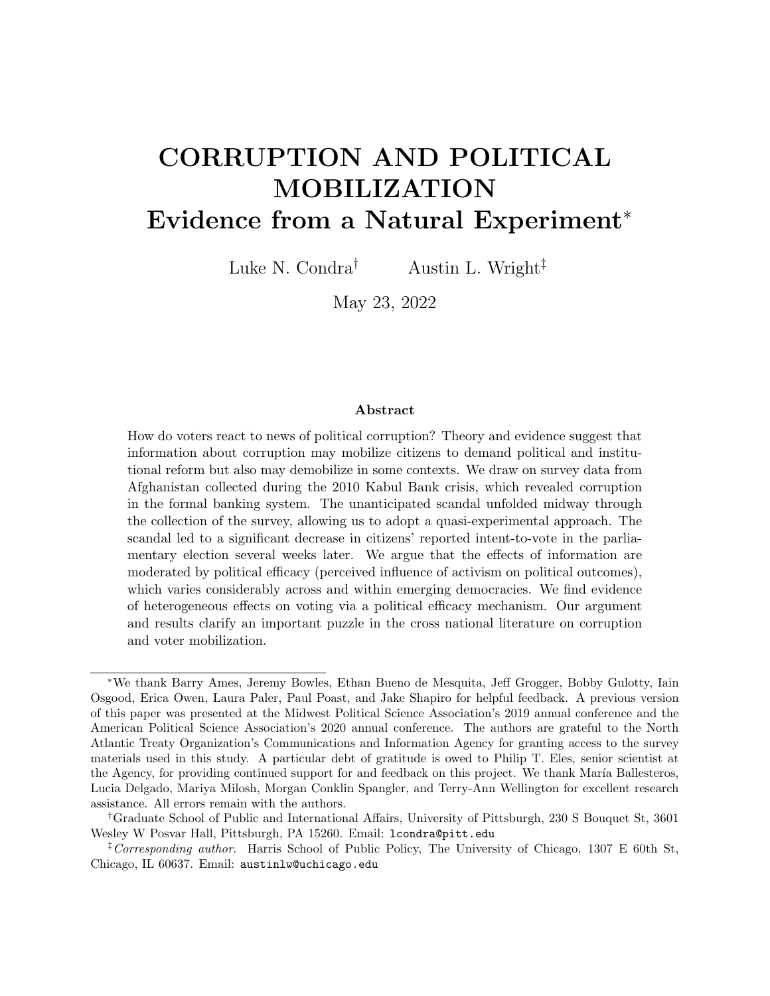Figure SI-4: ANQAR diagnostics during later waves (16-38) conducted by firm collecting Wave 9 survey data (ACSOR)



Notes: Data on refusal, non-contact, and overall cooperation were shared with the authors by NATO. This data is only available for the waves presented (not available for Wave 9). Author's own calculations.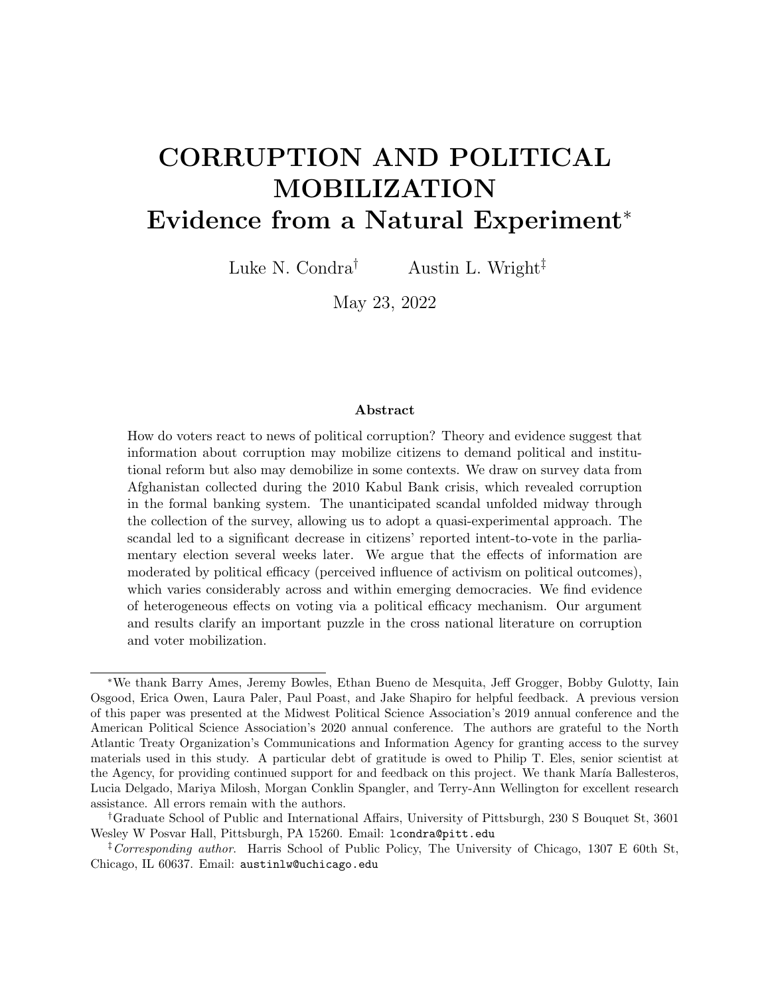

Figure SI-5: Comparison of ANQAR Wave 9 and Asia Foundation Demographic Data

Notes: Sub-figures  $a-e$  are province averages of binary demographics; sub-figure f uses individual-level age data (continuous). Asia Foundation data includes information from 2006 to 2018 and is plotted in black; ANQAR indicates Wave 9 from 2010 and is plotted in gray. Demographics are highly consistent across the two data sources with the exception of underrepresentation of female respondents in several provinces in the ANQAR sample. The main results are robust to excluding provinces with no females sampled in ANQAR Wave 9 (see Table SI-2).